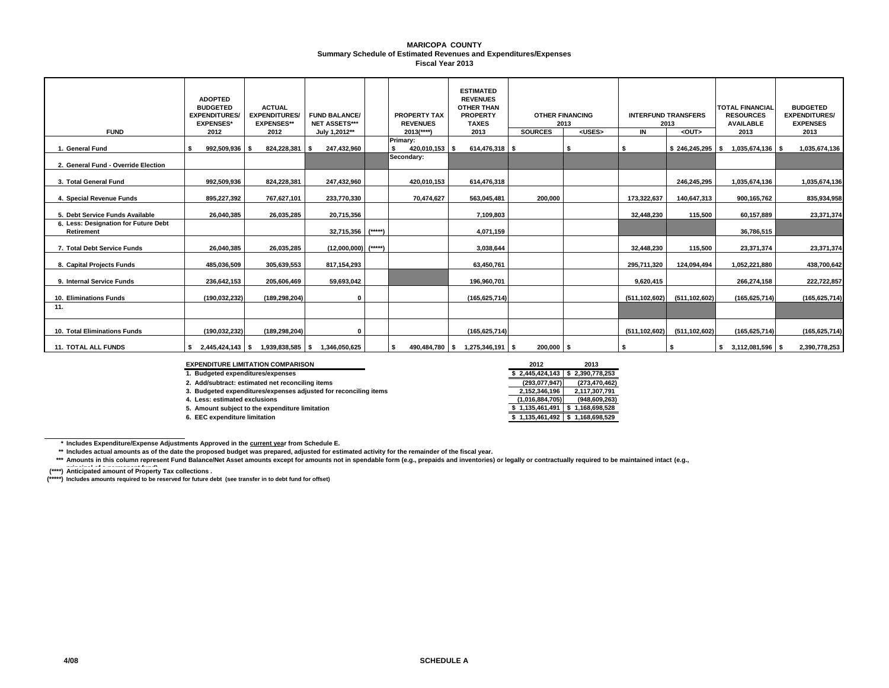#### **Summary Schedule of Estimated Revenues and Expenditures/Expenses MARICOPA COUNTY Fiscal Year 2013**

| <b>FUND</b>                                        | <b>ADOPTED</b><br><b>BUDGETED</b><br><b>EXPENDITURES/</b><br><b>EXPENSES*</b><br>2012 | <b>ACTUAL</b><br><b>EXPENDITURES/</b><br><b>EXPENSES**</b><br>2012 | <b>FUND BALANCE/</b><br><b>NET ASSETS***</b><br>July 1,2012** |          | <b>PROPERTY TAX</b><br><b>REVENUES</b><br>$2013$ <sup>****</sup> ) | <b>ESTIMATED</b><br><b>REVENUES</b><br><b>OTHER THAN</b><br><b>PROPERTY</b><br><b>TAXES</b><br>2013 | <b>OTHER FINANCING</b><br>2013<br><b>SOURCES</b><br><uses></uses> |  | IN              | <b>INTERFUND TRANSFERS</b><br>2013<br><out></out> | <b>TOTAL FINANCIAL</b><br><b>RESOURCES</b><br><b>AVAILABLE</b><br>2013 | <b>BUDGETED</b><br><b>EXPENDITURES/</b><br><b>EXPENSES</b><br>2013 |
|----------------------------------------------------|---------------------------------------------------------------------------------------|--------------------------------------------------------------------|---------------------------------------------------------------|----------|--------------------------------------------------------------------|-----------------------------------------------------------------------------------------------------|-------------------------------------------------------------------|--|-----------------|---------------------------------------------------|------------------------------------------------------------------------|--------------------------------------------------------------------|
| 1. General Fund                                    | 992,509,936 \$                                                                        | 824,228,381                                                        | 247,432,960                                                   |          | Primary:<br>420,010,153 \$<br>s.                                   | 614,476,318 \$                                                                                      |                                                                   |  | S               | $$246,245,295$ \\$                                |                                                                        | 1,035,674,136 \$<br>1,035,674,136                                  |
| 2. General Fund - Override Election                |                                                                                       |                                                                    |                                                               |          | Secondary:                                                         |                                                                                                     |                                                                   |  |                 |                                                   |                                                                        |                                                                    |
| 3. Total General Fund                              | 992,509,936                                                                           | 824,228,381                                                        | 247,432,960                                                   |          | 420,010,153                                                        | 614,476,318                                                                                         |                                                                   |  |                 | 246,245,295                                       | 1,035,674,136                                                          | 1,035,674,136                                                      |
| 4. Special Revenue Funds                           | 895,227,392                                                                           | 767,627,101                                                        | 233,770,330                                                   |          | 70,474,627                                                         | 563,045,481                                                                                         | 200,000                                                           |  | 173,322,637     | 140,647,313                                       | 900,165,762                                                            | 835,934,958                                                        |
| 5. Debt Service Funds Available                    | 26,040,385                                                                            | 26,035,285                                                         | 20,715,356                                                    |          |                                                                    | 7,109,803                                                                                           |                                                                   |  | 32.448.230      | 115,500                                           | 60,157,889                                                             | 23,371,374                                                         |
| 6. Less: Designation for Future Debt<br>Retirement |                                                                                       |                                                                    | 32,715,356                                                    | $(****)$ |                                                                    | 4,071,159                                                                                           |                                                                   |  |                 |                                                   | 36,786,515                                                             |                                                                    |
| 7. Total Debt Service Funds                        | 26,040,385                                                                            | 26,035,285                                                         | (12,000,000)                                                  | $(****)$ |                                                                    | 3,038,644                                                                                           |                                                                   |  | 32,448,230      | 115,500                                           | 23,371,374                                                             | 23,371,374                                                         |
| 8. Capital Projects Funds                          | 485,036,509                                                                           | 305,639,553                                                        | 817,154,293                                                   |          |                                                                    | 63,450,761                                                                                          |                                                                   |  | 295,711,320     | 124,094,494                                       | 1,052,221,880                                                          | 438,700,642                                                        |
| 9. Internal Service Funds                          | 236,642,153                                                                           | 205,606,469                                                        | 59,693,042                                                    |          |                                                                    | 196,960,701                                                                                         |                                                                   |  | 9,620,415       |                                                   | 266,274,158                                                            | 222,722,857                                                        |
| 10. Eliminations Funds                             | (190,032,232)                                                                         | (189, 298, 204)                                                    | 0                                                             |          |                                                                    | (165, 625, 714)                                                                                     |                                                                   |  | (511, 102, 602) | (511, 102, 602)                                   | (165, 625, 714)                                                        | (165, 625, 714)                                                    |
| 11.                                                |                                                                                       |                                                                    |                                                               |          |                                                                    |                                                                                                     |                                                                   |  |                 |                                                   |                                                                        |                                                                    |
| 10. Total Eliminations Funds                       | (190,032,232)                                                                         | (189, 298, 204)                                                    | 0                                                             |          |                                                                    | (165, 625, 714)                                                                                     |                                                                   |  | (511, 102, 602) | (511, 102, 602)                                   | (165, 625, 714)                                                        | (165, 625, 714)                                                    |
| <b>11. TOTAL ALL FUNDS</b>                         |                                                                                       |                                                                    | 1,939,838,585 \$ 1,346,050,625                                |          | 490,484,780 \$<br>s.                                               | $1,275,346,191$ \$                                                                                  | 200,000 \$                                                        |  | - \$            |                                                   | $$3,112,081,596$ \\$                                                   | 2,390,778,253                                                      |

#### **EXPENDITURE LIMITATION COMPARISON**

| <b>EXPENDITURE LIMITATION COMPARISON</b>                         | 2012                              | 2013                                 |
|------------------------------------------------------------------|-----------------------------------|--------------------------------------|
| 1. Budgeted expenditures/expenses                                | $$2,445,424,143$ $$2,390,778,253$ |                                      |
| 2. Add/subtract: estimated net reconciling items                 | (293, 077, 947)                   | (273,470,462)                        |
| 3. Budgeted expenditures/expenses adjusted for reconciling items | 2.152.346.196                     | 2.117.307.791                        |
| 4. Less: estimated exclusions                                    | (1,016,884,705)                   | (948, 609, 263)                      |
| 5. Amount subject to the expenditure limitation                  | \$1.135.461.491                   | 1.168.698.528                        |
| 6. EEC expenditure limitation                                    |                                   | $$1,135,461,492 \mid $1,168,698,529$ |

#### **\* Includes Expenditure/Expense Adjustments Approved in the current year from Schedule E.**

**\*\* Includes actual amounts as of the date the proposed budget was prepared, adjusted for estimated activity for the remainder of the fiscal year.**

\*\*\* Amounts in this column represent Fund Balance/Net Asset amounts except for amounts not in spendable form (e.g., prepaids and inventories) or legally or contractually required to be maintained intact (e.g.,

(\*\*\*\*) Anticipated amount of Property Tax collections .

**(\*\*\*\*\*) Includes amounts required to be reserved for future debt (see transfer in to debt fund for offset)**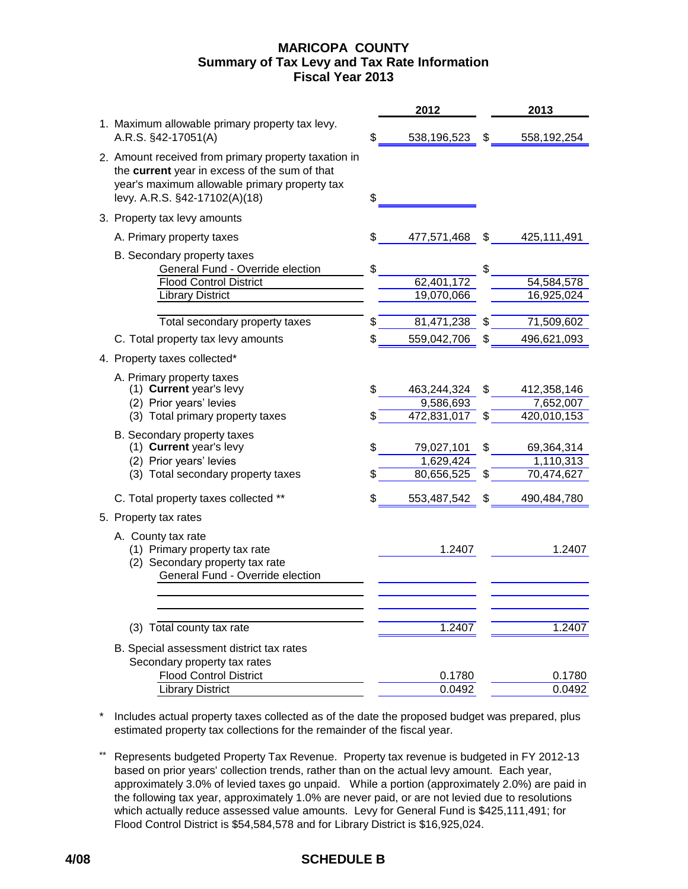# **MARICOPA COUNTY Fiscal Year 2013 Summary of Tax Levy and Tax Rate Information**

|                                                                                                                                                                                         |    | 2012                     |    | 2013                     |
|-----------------------------------------------------------------------------------------------------------------------------------------------------------------------------------------|----|--------------------------|----|--------------------------|
| 1. Maximum allowable primary property tax levy.<br>A.R.S. §42-17051(A)                                                                                                                  | \$ | 538,196,523              | S  | 558,192,254              |
| 2. Amount received from primary property taxation in<br>the current year in excess of the sum of that<br>year's maximum allowable primary property tax<br>levy. A.R.S. §42-17102(A)(18) | \$ |                          |    |                          |
| 3. Property tax levy amounts                                                                                                                                                            |    |                          |    |                          |
| A. Primary property taxes                                                                                                                                                               |    | 477,571,468              | \$ | 425,111,491              |
| B. Secondary property taxes<br>General Fund - Override election<br><b>Flood Control District</b>                                                                                        | \$ | 62,401,172               | \$ | 54,584,578               |
| <b>Library District</b>                                                                                                                                                                 |    | 19,070,066               |    | 16,925,024               |
| Total secondary property taxes                                                                                                                                                          | \$ | 81,471,238               | \$ | 71,509,602               |
| C. Total property tax levy amounts                                                                                                                                                      | \$ | 559,042,706              | \$ | 496,621,093              |
| 4. Property taxes collected*                                                                                                                                                            |    |                          |    |                          |
| A. Primary property taxes<br>(1) Current year's levy<br>(2) Prior years' levies                                                                                                         | \$ | 463,244,324<br>9,586,693 | \$ | 412,358,146<br>7,652,007 |
| (3) Total primary property taxes                                                                                                                                                        | S  | 472,831,017              | \$ | 420,010,153              |
| B. Secondary property taxes<br>(1) Current year's levy<br>(2) Prior years' levies                                                                                                       | \$ | 79,027,101<br>1,629,424  | \$ | 69,364,314<br>1,110,313  |
| (3) Total secondary property taxes                                                                                                                                                      |    | 80,656,525               |    | 70,474,627               |
| C. Total property taxes collected **                                                                                                                                                    | \$ | 553,487,542              | S  | 490,484,780              |
| 5. Property tax rates                                                                                                                                                                   |    |                          |    |                          |
| A. County tax rate<br>(1) Primary property tax rate<br>(2) Secondary property tax rate<br>General Fund - Override election                                                              |    | 1.2407                   |    | 1.2407                   |
|                                                                                                                                                                                         |    |                          |    |                          |
| (3) Total county tax rate                                                                                                                                                               |    | 1.2407                   |    | 1.2407                   |
| B. Special assessment district tax rates<br>Secondary property tax rates                                                                                                                |    |                          |    |                          |
| <b>Flood Control District</b><br><b>Library District</b>                                                                                                                                |    | 0.1780<br>0.0492         |    | 0.1780<br>0.0492         |
|                                                                                                                                                                                         |    |                          |    |                          |

\* Includes actual property taxes collected as of the date the proposed budget was prepared, plus estimated property tax collections for the remainder of the fiscal year.

\*\* Represents budgeted Property Tax Revenue. Property tax revenue is budgeted in FY 2012-13 based on prior years' collection trends, rather than on the actual levy amount. Each year, approximately 3.0% of levied taxes go unpaid. While a portion (approximately 2.0%) are paid in the following tax year, approximately 1.0% are never paid, or are not levied due to resolutions which actually reduce assessed value amounts. Levy for General Fund is \$425,111,491; for Flood Control District is \$54,584,578 and for Library District is \$16,925,024.

# **4/08 SCHEDULE B**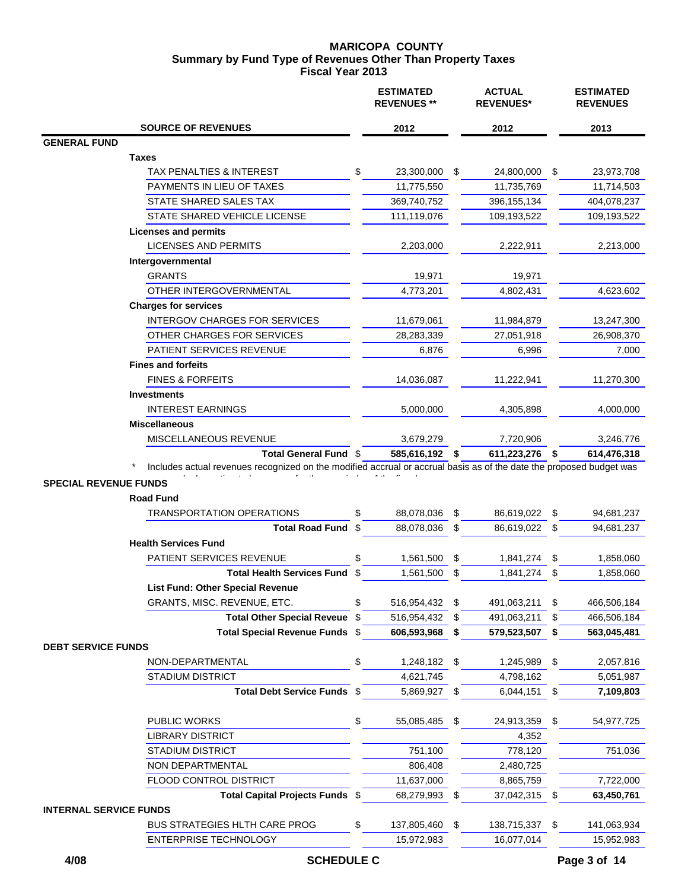### **MARICOPA COUNTY Fiscal Year 2013 Summary by Fund Type of Revenues Other Than Property Taxes**

|                                                                                                                                                                         |      | <b>ESTIMATED</b><br><b>REVENUES</b> ** |    | <b>ACTUAL</b><br><b>REVENUES*</b> |      | <b>ESTIMATED</b><br><b>REVENUES</b> |
|-------------------------------------------------------------------------------------------------------------------------------------------------------------------------|------|----------------------------------------|----|-----------------------------------|------|-------------------------------------|
| <b>SOURCE OF REVENUES</b>                                                                                                                                               |      | 2012                                   |    | 2012                              |      | 2013                                |
| <b>GENERAL FUND</b>                                                                                                                                                     |      |                                        |    |                                   |      |                                     |
| Taxes                                                                                                                                                                   |      |                                        |    |                                   |      |                                     |
| TAX PENALTIES & INTEREST                                                                                                                                                | \$   | 23,300,000                             | S. | 24,800,000                        | \$   | 23,973,708                          |
| PAYMENTS IN LIEU OF TAXES                                                                                                                                               |      | 11,775,550                             |    | 11,735,769                        |      | 11,714,503                          |
| STATE SHARED SALES TAX                                                                                                                                                  |      | 369,740,752                            |    | 396, 155, 134                     |      | 404,078,237                         |
| STATE SHARED VEHICLE LICENSE                                                                                                                                            |      | 111,119,076                            |    | 109,193,522                       |      | 109,193,522                         |
| <b>Licenses and permits</b>                                                                                                                                             |      |                                        |    |                                   |      |                                     |
| <b>LICENSES AND PERMITS</b>                                                                                                                                             |      | 2,203,000                              |    | 2,222,911                         |      | 2,213,000                           |
| Intergovernmental                                                                                                                                                       |      |                                        |    |                                   |      |                                     |
| <b>GRANTS</b>                                                                                                                                                           |      | 19,971                                 |    | 19,971                            |      |                                     |
| OTHER INTERGOVERNMENTAL                                                                                                                                                 |      | 4,773,201                              |    | 4,802,431                         |      | 4,623,602                           |
| <b>Charges for services</b>                                                                                                                                             |      |                                        |    |                                   |      |                                     |
| INTERGOV CHARGES FOR SERVICES                                                                                                                                           |      | 11,679,061                             |    | 11,984,879                        |      | 13,247,300                          |
| OTHER CHARGES FOR SERVICES                                                                                                                                              |      | 28,283,339                             |    | 27,051,918                        |      | 26,908,370                          |
| PATIENT SERVICES REVENUE                                                                                                                                                |      | 6,876                                  |    | 6,996                             |      | 7,000                               |
| <b>Fines and forfeits</b>                                                                                                                                               |      |                                        |    |                                   |      |                                     |
| <b>FINES &amp; FORFEITS</b>                                                                                                                                             |      | 14,036,087                             |    | 11,222,941                        |      | 11,270,300                          |
| <b>Investments</b>                                                                                                                                                      |      |                                        |    |                                   |      |                                     |
| <b>INTEREST EARNINGS</b>                                                                                                                                                |      | 5,000,000                              |    | 4,305,898                         |      | 4,000,000                           |
| <b>Miscellaneous</b>                                                                                                                                                    |      |                                        |    |                                   |      |                                     |
| MISCELLANEOUS REVENUE                                                                                                                                                   |      | 3,679,279                              |    | 7,720,906                         |      | 3,246,776                           |
| Total General Fund \$                                                                                                                                                   |      | 585,616,192 \$                         |    | 611,223,276 \$                    |      | 614,476,318                         |
| Includes actual revenues recognized on the modified accrual or accrual basis as of the date the proposed budget was<br><b>SPECIAL REVENUE FUNDS</b><br><b>Road Fund</b> |      |                                        |    |                                   |      |                                     |
| <b>TRANSPORTATION OPERATIONS</b>                                                                                                                                        | \$   | 88,078,036                             | \$ | 86,619,022                        | - \$ | 94,681,237                          |
| <b>Total Road Fund</b>                                                                                                                                                  | -\$  | 88,078,036                             | \$ | 86,619,022                        | - \$ | 94,681,237                          |
| <b>Health Services Fund</b>                                                                                                                                             |      |                                        |    |                                   |      |                                     |
| PATIENT SERVICES REVENUE                                                                                                                                                | \$   | 1,561,500                              | \$ | 1,841,274                         | \$   | 1,858,060                           |
| <b>Total Health Services Fund</b>                                                                                                                                       | \$   | 1,561,500                              | \$ | 1,841,274 \$                      |      | 1,858,060                           |
| <b>List Fund: Other Special Revenue</b>                                                                                                                                 |      |                                        |    |                                   |      |                                     |
| GRANTS, MISC. REVENUE, ETC.                                                                                                                                             | \$   | 516,954,432 \$                         |    | 491,063,211                       | \$   | 466,506,184                         |
| <b>Total Other Special Reveue</b>                                                                                                                                       | -\$  | 516,954,432                            | \$ | 491,063,211                       | \$   | 466,506,184                         |
| <b>Total Special Revenue Funds</b>                                                                                                                                      | - \$ | 606,593,968                            | \$ | 579,523,507                       | \$   | 563,045,481                         |
| <b>DEBT SERVICE FUNDS</b>                                                                                                                                               |      |                                        |    |                                   |      |                                     |
| NON-DEPARTMENTAL                                                                                                                                                        | \$   | 1,248,182                              | \$ | 1,245,989                         | \$   | 2,057,816                           |
| <b>STADIUM DISTRICT</b>                                                                                                                                                 |      | 4,621,745                              |    | 4,798,162                         |      | 5,051,987                           |
| Total Debt Service Funds \$                                                                                                                                             |      | 5,869,927 \$                           |    | 6,044,151                         | \$   | 7,109,803                           |
| PUBLIC WORKS                                                                                                                                                            | \$   | 55,085,485                             | \$ | 24,913,359                        | \$   | 54,977,725                          |
| <b>LIBRARY DISTRICT</b>                                                                                                                                                 |      |                                        |    | 4,352                             |      |                                     |
| <b>STADIUM DISTRICT</b>                                                                                                                                                 |      | 751,100                                |    | 778,120                           |      | 751,036                             |
| NON DEPARTMENTAL                                                                                                                                                        |      | 806,408                                |    | 2,480,725                         |      |                                     |
| FLOOD CONTROL DISTRICT                                                                                                                                                  |      | 11,637,000                             |    | 8,865,759                         |      | 7,722,000                           |
| Total Capital Projects Funds \$                                                                                                                                         |      | 68,279,993                             | \$ | 37,042,315                        | \$   | 63,450,761                          |
| <b>INTERNAL SERVICE FUNDS</b>                                                                                                                                           |      |                                        |    |                                   |      |                                     |
| BUS STRATEGIES HLTH CARE PROG                                                                                                                                           | \$   | 137,805,460                            | \$ | 138,715,337                       | \$   | 141,063,934                         |
| ENTERPRISE TECHNOLOGY                                                                                                                                                   |      | 15,972,983                             |    | 16,077,014                        |      | 15,952,983                          |
|                                                                                                                                                                         |      |                                        |    |                                   |      |                                     |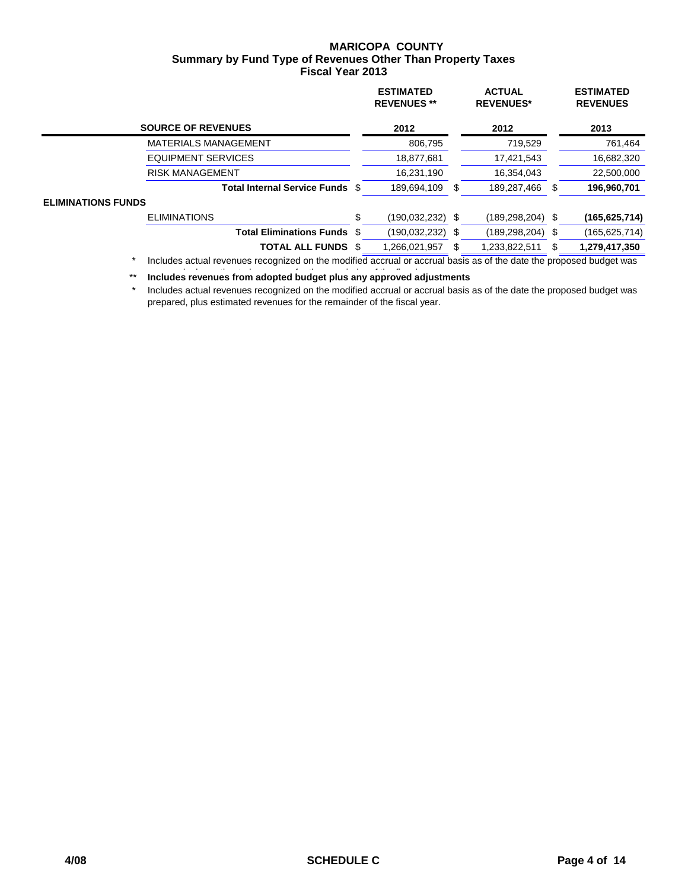## **MARICOPA COUNTY Fiscal Year 2013 Summary by Fund Type of Revenues Other Than Property Taxes**

|                           |                                                                                                                        |     | <b>ESTIMATED</b><br><b>REVENUES**</b> |    | <b>ACTUAL</b><br><b>REVENUES*</b> |      | <b>ESTIMATED</b><br><b>REVENUES</b> |
|---------------------------|------------------------------------------------------------------------------------------------------------------------|-----|---------------------------------------|----|-----------------------------------|------|-------------------------------------|
|                           | <b>SOURCE OF REVENUES</b>                                                                                              |     | 2012                                  |    | 2012                              |      | 2013                                |
|                           | <b>MATERIALS MANAGEMENT</b>                                                                                            |     | 806,795                               |    | 719,529                           |      | 761,464                             |
|                           | <b>EQUIPMENT SERVICES</b>                                                                                              |     | 18,877,681                            |    | 17,421,543                        |      | 16,682,320                          |
|                           | <b>RISK MANAGEMENT</b>                                                                                                 |     | 16,231,190                            |    | 16,354,043                        |      | 22,500,000                          |
|                           | <b>Total Internal Service Funds</b>                                                                                    | S   | 189,694,109                           | £. | 189,287,466                       | S    | 196,960,701                         |
| <b>ELIMINATIONS FUNDS</b> |                                                                                                                        |     |                                       |    |                                   |      |                                     |
|                           | <b>ELIMINATIONS</b>                                                                                                    | \$  | (190, 032, 232)                       | \$ | (189, 298, 204)                   | - \$ | (165, 625, 714)                     |
|                           | <b>Total Eliminations Funds</b>                                                                                        | -SS | (190, 032, 232)                       | \$ | (189, 298, 204)                   | \$   | (165,625,714)                       |
|                           | <b>TOTAL ALL FUNDS</b>                                                                                                 |     | 1,266,021,957                         |    | 1,233,822,511                     |      | 1,279,417,350                       |
| $\star$                   | includes astrological constant and the second location and constant and secondary and the data the proposal budget was |     |                                       |    |                                   |      |                                     |

 \* Includes actual revenues recognized on the modified accrual or accrual basis as of the date the proposed budget was

\*\* Includes revenues from adopted budget plus any approved adjustments

 \* Includes actual revenues recognized on the modified accrual or accrual basis as of the date the proposed budget was prepared, plus estimated revenues for the remainder of the fiscal year.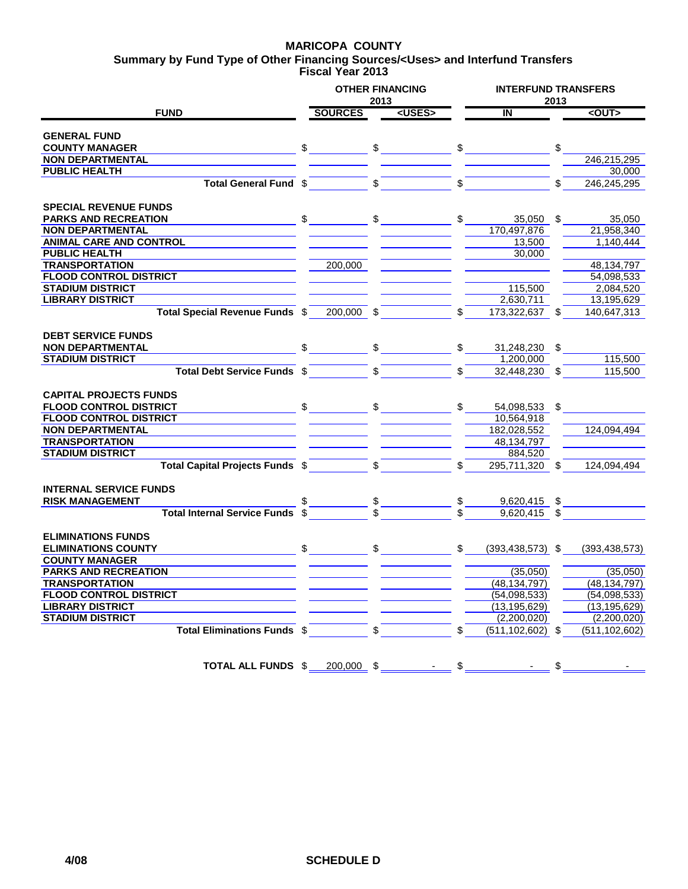## **MARICOPA COUNTY**

**Fiscal Year 2013 Summary by Fund Type of Other Financing Sources/<Uses> and Interfund Transfers**

|                                     |                |                | 2013         | <b>OTHER FINANCING</b> | <b>INTERFUND TRANSFERS</b> | 2013 |                 |
|-------------------------------------|----------------|----------------|--------------|------------------------|----------------------------|------|-----------------|
| <b>FUND</b>                         |                | <b>SOURCES</b> |              | <uses></uses>          | IN                         |      | $<$ OUT $>$     |
|                                     |                |                |              |                        |                            |      |                 |
| <b>GENERAL FUND</b>                 |                |                |              |                        |                            |      |                 |
| <b>COUNTY MANAGER</b>               | $\mathfrak{S}$ |                | $\mathbb{S}$ |                        | \$                         | \$   |                 |
| <b>NON DEPARTMENTAL</b>             |                |                |              |                        |                            |      | 246,215,295     |
| <b>PUBLIC HEALTH</b>                |                |                |              |                        |                            |      | 30,000          |
| Total General Fund \$               |                |                |              |                        |                            |      | 246,245,295     |
|                                     |                |                |              |                        |                            |      |                 |
| <b>SPECIAL REVENUE FUNDS</b>        |                |                |              |                        |                            |      |                 |
| <b>PARKS AND RECREATION</b>         | \$             |                |              |                        | \$<br>$35,050$ \$          |      | 35.050          |
| <b>NON DEPARTMENTAL</b>             |                |                |              |                        | 170,497,876                |      | 21,958,340      |
| <b>ANIMAL CARE AND CONTROL</b>      |                |                |              |                        | 13,500                     |      | 1,140,444       |
| <b>PUBLIC HEALTH</b>                |                |                |              |                        | 30,000                     |      |                 |
| <b>TRANSPORTATION</b>               |                | 200,000        |              |                        |                            |      | 48,134,797      |
| <b>FLOOD CONTROL DISTRICT</b>       |                |                |              |                        |                            |      | 54,098,533      |
| <b>STADIUM DISTRICT</b>             |                |                |              |                        | 115,500                    |      | 2,084,520       |
| <b>LIBRARY DISTRICT</b>             |                |                |              |                        | 2,630,711                  |      | 13,195,629      |
| Total Special Revenue Funds \$      |                | 200,000 \$     |              |                        | 173,322,637                |      | 140,647,313     |
|                                     |                |                |              |                        |                            |      |                 |
| <b>DEBT SERVICE FUNDS</b>           |                |                |              |                        |                            |      |                 |
| <b>NON DEPARTMENTAL</b>             |                |                | \$           |                        | 31,248,230 \$              |      |                 |
| <b>STADIUM DISTRICT</b>             |                |                |              |                        | 1,200,000                  |      | 115,500         |
| Total Debt Service Funds \$         |                |                |              |                        | 32,448,230 \$              |      | 115,500         |
|                                     |                |                |              |                        |                            |      |                 |
| <b>CAPITAL PROJECTS FUNDS</b>       |                |                |              |                        |                            |      |                 |
| <b>FLOOD CONTROL DISTRICT</b>       | $\frac{1}{2}$  |                |              |                        | 54,098,533                 | \$   |                 |
| <b>FLOOD CONTROL DISTRICT</b>       |                |                |              |                        | 10,564,918                 |      |                 |
| <b>NON DEPARTMENTAL</b>             |                |                |              |                        | 182,028,552                |      | 124,094,494     |
| <b>TRANSPORTATION</b>               |                |                |              |                        | 48,134,797                 |      |                 |
| <b>STADIUM DISTRICT</b>             |                |                |              |                        | 884,520                    |      |                 |
| Total Capital Projects Funds \$     |                |                | \$.          |                        | 295,711,320 \$             |      | 124,094,494     |
|                                     |                |                |              |                        |                            |      |                 |
| <b>INTERNAL SERVICE FUNDS</b>       |                |                |              |                        |                            |      |                 |
| <b>RISK MANAGEMENT</b>              |                |                |              |                        | 9,620,415                  | \$   |                 |
| <b>Total Internal Service Funds</b> |                |                |              |                        | $9,620,415$ \$             |      |                 |
|                                     |                |                |              |                        |                            |      |                 |
| <b>ELIMINATIONS FUNDS</b>           |                |                |              |                        |                            |      |                 |
| <b>ELIMINATIONS COUNTY</b>          | \$             |                | \$           |                        | \$<br>$(393, 438, 573)$ \$ |      | (393, 438, 573) |
| <b>COUNTY MANAGER</b>               |                |                |              |                        |                            |      |                 |
| <b>PARKS AND RECREATION</b>         |                |                |              |                        | (35,050)                   |      | (35,050)        |
| <b>TRANSPORTATION</b>               |                |                |              |                        | (48, 134, 797)             |      | (48, 134, 797)  |
| <b>FLOOD CONTROL DISTRICT</b>       |                |                |              |                        | (54,098,533)               |      | (54,098,533)    |
| <b>LIBRARY DISTRICT</b>             |                |                |              |                        | (13, 195, 629)             |      | (13, 195, 629)  |
| <b>STADIUM DISTRICT</b>             |                |                |              |                        | (2,200,020)                |      | (2,200,020)     |
| <b>Total Eliminations Funds \$</b>  |                |                | \$           |                        | \$<br>$(511, 102, 602)$ \$ |      | (511, 102, 602) |
|                                     |                |                |              |                        |                            |      |                 |
|                                     |                |                |              |                        |                            |      |                 |
| TOTAL ALL FUNDS \$                  |                | $200,000$ \$   |              |                        | \$                         | \$   |                 |
|                                     |                |                |              |                        |                            |      |                 |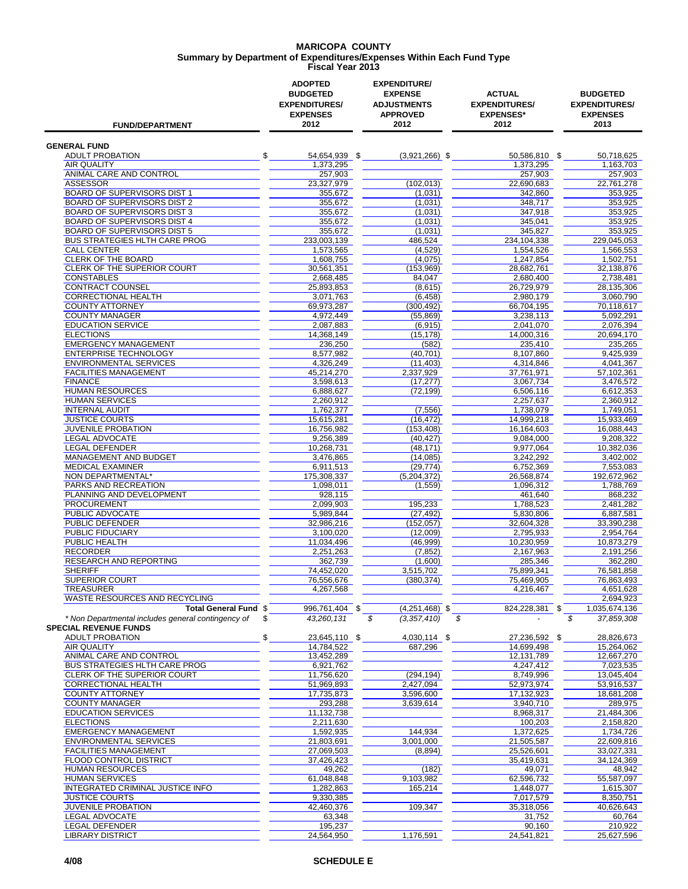#### **MARICOPA COUNTY Fiscal Year 2013 Summary by Department of Expenditures/Expenses Within Each Fund Type**

| <b>FUND/DEPARTMENT</b>                                                             | <b>ADOPTED</b><br><b>BUDGETED</b><br><b>EXPENDITURES/</b><br><b>EXPENSES</b><br>2012 | <b>EXPENDITURE/</b><br><b>EXPENSE</b><br><b>ADJUSTMENTS</b><br><b>APPROVED</b><br>2012 | <b>ACTUAL</b><br><b>EXPENDITURES/</b><br><b>EXPENSES*</b><br>2012 | <b>BUDGETED</b><br><b>EXPENDITURES/</b><br><b>EXPENSES</b><br>2013 |
|------------------------------------------------------------------------------------|--------------------------------------------------------------------------------------|----------------------------------------------------------------------------------------|-------------------------------------------------------------------|--------------------------------------------------------------------|
| <b>GENERAL FUND</b>                                                                |                                                                                      |                                                                                        |                                                                   |                                                                    |
| <b>ADULT PROBATION</b>                                                             | \$<br>54,654,939 \$                                                                  | $(3,921,266)$ \$                                                                       | 50,586,810 \$                                                     | 50.718.625                                                         |
| <b>AIR QUALITY</b>                                                                 | 1,373,295                                                                            |                                                                                        | 1,373,295                                                         | 1,163,703                                                          |
| ANIMAL CARE AND CONTROL                                                            | 257,903                                                                              |                                                                                        | 257,903                                                           | 257,903                                                            |
| ASSESSOR<br>BOARD OF SUPERVISORS DIST 1                                            | 23,327,979<br>355,672                                                                | (102, 013)<br>(1,031)                                                                  | 22,690,683<br>342.860                                             | 22,761,278<br>353,925                                              |
| <b>BOARD OF SUPERVISORS DIST 2</b>                                                 | 355,672                                                                              | (1,031)                                                                                | 348,717                                                           | 353,925                                                            |
| <b>BOARD OF SUPERVISORS DIST 3</b>                                                 | 355,672                                                                              | (1,031)                                                                                | 347,918                                                           | 353,925                                                            |
| BOARD OF SUPERVISORS DIST 4                                                        | 355.672                                                                              | (1,031)                                                                                | 345,041                                                           | 353,925                                                            |
| <b>BOARD OF SUPERVISORS DIST 5</b>                                                 | 355,672                                                                              | (1,031)                                                                                | 345,827                                                           | 353,925                                                            |
| <b>BUS STRATEGIES HLTH CARE PROG</b><br><b>CALL CENTER</b>                         | 233,003,139<br>1,573,565                                                             | 486,524<br>(4,529)                                                                     | 234,104,338<br>1,554,526                                          | 229,045,053<br>1,566,553                                           |
| <b>CLERK OF THE BOARD</b>                                                          | 1,608,755                                                                            | (4,075)                                                                                | 1,247,854                                                         | 1,502,751                                                          |
| CLERK OF THE SUPERIOR COURT                                                        | 30,561,351                                                                           | (153, 969)                                                                             | 28,682,761                                                        | 32,138,876                                                         |
| <b>CONSTABLES</b>                                                                  | 2,668,485                                                                            | 84,047                                                                                 | 2,680,400                                                         | 2,738,481                                                          |
| CONTRACT COUNSEL                                                                   | 25,893,853                                                                           | (8,615)                                                                                | 26,729,979                                                        | 28,135,306                                                         |
| <b>CORRECTIONAL HEALTH</b><br><b>COUNTY ATTORNEY</b>                               | 3,071,763<br>69,973,287                                                              | (6, 458)<br>(300, 492)                                                                 | 2,980,179<br>66,704,195                                           | 3,060,790<br>70,118,617                                            |
| <b>COUNTY MANAGER</b>                                                              | 4.972.449                                                                            | (55, 869)                                                                              | 3,238,113                                                         | 5,092,291                                                          |
| <b>EDUCATION SERVICE</b>                                                           | 2,087,883                                                                            | (6, 915)                                                                               | 2,041,070                                                         | 2,076,394                                                          |
| <b>ELECTIONS</b>                                                                   | 14.368.149                                                                           | (15, 178)                                                                              | 14,000,316                                                        | 20,694,170                                                         |
| <b>EMERGENCY MANAGEMENT</b>                                                        | 236,250                                                                              | (582)                                                                                  | 235.410                                                           | 235,265                                                            |
| <b>ENTERPRISE TECHNOLOGY</b><br><b>ENVIRONMENTAL SERVICES</b>                      | 8.577.982<br>4,326,249                                                               | (40, 701)<br>(11.403)                                                                  | 8,107,860<br>4,314,846                                            | 9,425,939<br>4,041,367                                             |
| <b>FACILITIES MANAGEMENT</b>                                                       | 45,214,270                                                                           | 2,337,929                                                                              | 37,761,971                                                        | 57,102,361                                                         |
| <b>FINANCE</b>                                                                     | 3,598,613                                                                            | (17, 277)                                                                              | 3,067,734                                                         | 3,476,572                                                          |
| <b>HUMAN RESOURCES</b>                                                             | 6.888.627                                                                            | (72, 199)                                                                              | 6,506,116                                                         | 6,612,353                                                          |
| <b>HUMAN SERVICES</b>                                                              | 2,260,912                                                                            |                                                                                        | 2,257,637                                                         | 2,360,912                                                          |
| <b>INTERNAL AUDIT</b><br><b>JUSTICE COURTS</b>                                     | 1,762,377<br>15,615,281                                                              | (7, 556)<br>(16, 472)                                                                  | 1,738,079<br>14,999,218                                           | 1,749,051<br>15,933,469                                            |
| <b>JUVENILE PROBATION</b>                                                          | 16,756,982                                                                           | (153, 408)                                                                             | 16,164,603                                                        | 16,088,443                                                         |
| LEGAL ADVOCATE                                                                     | 9,256,389                                                                            | (40, 427)                                                                              | 9,084,000                                                         | 9,208,322                                                          |
| <b>LEGAL DEFENDER</b>                                                              | 10,268,731                                                                           | (48, 171)                                                                              | 9,977,064                                                         | 10,382,036                                                         |
| MANAGEMENT AND BUDGET                                                              | 3,476,865                                                                            | (14,085)                                                                               | 3,242,292                                                         | 3,402,002                                                          |
| <b>MEDICAL EXAMINER</b><br>NON DEPARTMENTAL*                                       | 6,911,513                                                                            | (29, 774)<br>(5,204,372)                                                               | 6,752,369<br>26,568,874                                           | 7,553,083<br>192,672,962                                           |
| PARKS AND RECREATION                                                               | 175,308,337<br>1,098,011                                                             | (1,559)                                                                                | 1,096,312                                                         | 1,788,769                                                          |
| PLANNING AND DEVELOPMENT                                                           | 928,115                                                                              |                                                                                        | 461,640                                                           | 868,232                                                            |
| <b>PROCUREMENT</b>                                                                 | 2,099,903                                                                            | 195,233                                                                                | 1,788,523                                                         | 2,481,282                                                          |
| PUBLIC ADVOCATE                                                                    | 5,989,844                                                                            | (27, 492)                                                                              | 5,830,806                                                         | 6,887,581                                                          |
| PUBLIC DEFENDER<br>PUBLIC FIDUCIARY                                                | 32.986.216<br>3,100,020                                                              | (152.057)                                                                              | 32,604,328<br>2,795,933                                           | 33.390.238<br>2,954,764                                            |
| PUBLIC HEALTH                                                                      | 11,034,496                                                                           | (12,009)<br>(46,999)                                                                   | 10,230,959                                                        | 10.873.279                                                         |
| <b>RECORDER</b>                                                                    | 2.251.263                                                                            | (7, 852)                                                                               | 2,167,963                                                         | 2,191,256                                                          |
| <b>RESEARCH AND REPORTING</b>                                                      | 362,739                                                                              | (1,600)                                                                                | 285,346                                                           | 362,280                                                            |
| <b>SHERIFF</b>                                                                     | 74,452,020                                                                           | 3,515,702                                                                              | 75,899,341                                                        | 76,581,858                                                         |
| SUPERIOR COURT                                                                     | 76,556,676                                                                           | (380,374)                                                                              | 75,469,905                                                        | 76,863,493                                                         |
| <b>TREASURER</b><br>WASTE RESOURCES AND RECYCLING                                  | 4,267,568                                                                            |                                                                                        | 4,216,467                                                         | 4,651,628<br>2,694,923                                             |
| Total General Fund \$                                                              | 996,761,404 \$                                                                       | $(4,251,468)$ \$                                                                       | 824,228,381 \$                                                    | 1,035,674,136                                                      |
| * Non Departmental includes general contingency of<br><b>SPECIAL REVENUE FUNDS</b> | \$<br>43,260,131                                                                     | \$<br>(3, 357, 410)                                                                    | \$                                                                | \$<br>37,859,308                                                   |
| <b>ADULT PROBATION</b>                                                             | \$<br>23,645,110 \$                                                                  | 4,030,114 \$                                                                           | 27,236,592 \$                                                     | 28,826,673                                                         |
| AIR QUALITY                                                                        | 14,784,522                                                                           | 687,296                                                                                | 14,699,498                                                        | 15,264,062                                                         |
| ANIMAL CARE AND CONTROL<br>BUS STRATEGIES HLTH CARE PROG                           | 13,452,289<br>6,921,762                                                              |                                                                                        | 12,131,789<br>4,247,412                                           | 12,667,270<br>7,023,535                                            |
| CLERK OF THE SUPERIOR COURT                                                        | 11,756,620                                                                           | (294, 194)                                                                             | 8,749,996                                                         | 13,045,404                                                         |
| CORRECTIONAL HEALTH                                                                | 51,969,893                                                                           | 2,427,094                                                                              | 52,973,974                                                        | 53,916,537                                                         |
| <b>COUNTY ATTORNEY</b>                                                             | 17,735,873                                                                           | 3,596,600                                                                              | 17,132,923                                                        | 18,681,208                                                         |
| <b>COUNTY MANAGER</b>                                                              | 293,288                                                                              | 3,639,614                                                                              | 3,940,710                                                         | 289,975                                                            |
| <b>EDUCATION SERVICES</b>                                                          | 11,132,738                                                                           |                                                                                        | 8,968,317                                                         | 21,484,306                                                         |
| <b>ELECTIONS</b><br><b>EMERGENCY MANAGEMENT</b>                                    | 2,211,630<br>1,592,935                                                               | 144,934                                                                                | 100,203<br>1,372,625                                              | 2,158,820<br>1,734,726                                             |
| ENVIRONMENTAL SERVICES                                                             | 21,803,691                                                                           | 3,001,000                                                                              | 21,505,587                                                        | 22,609,816                                                         |
| FACILITIES MANAGEMENT                                                              | 27,069,503                                                                           | (8,894)                                                                                | 25,526,601                                                        | 33,027,331                                                         |
| FLOOD CONTROL DISTRICT                                                             | 37,426,423                                                                           |                                                                                        | 35,419,631                                                        | 34,124,369                                                         |
| HUMAN RESOURCES                                                                    | 49,262                                                                               | (182)                                                                                  | 49,071                                                            | 48,942                                                             |
| <b>HUMAN SERVICES</b><br>INTEGRATED CRIMINAL JUSTICE INFO                          | 61,048,848<br>1,282,863                                                              | 9,103,982<br>165,214                                                                   | 62,596,732<br>1,448,077                                           | 55,587,097<br>1,615,307                                            |
| <b>JUSTICE COURTS</b>                                                              | 9,330,385                                                                            |                                                                                        | 7,017,579                                                         | 8,350,751                                                          |
| JUVENILE PROBATION                                                                 | 42,460,376                                                                           | 109,347                                                                                | 35,318,056                                                        | 40,626,643                                                         |
| LEGAL ADVOCATE                                                                     | 63,348                                                                               |                                                                                        | 31,752                                                            | 60,764                                                             |
| <b>LEGAL DEFENDER</b>                                                              | 195,237                                                                              |                                                                                        | 90,160                                                            | 210,922                                                            |
| <b>LIBRARY DISTRICT</b>                                                            | 24,564,950                                                                           | 1,176,591                                                                              | 24,541,821                                                        | 25,627,596                                                         |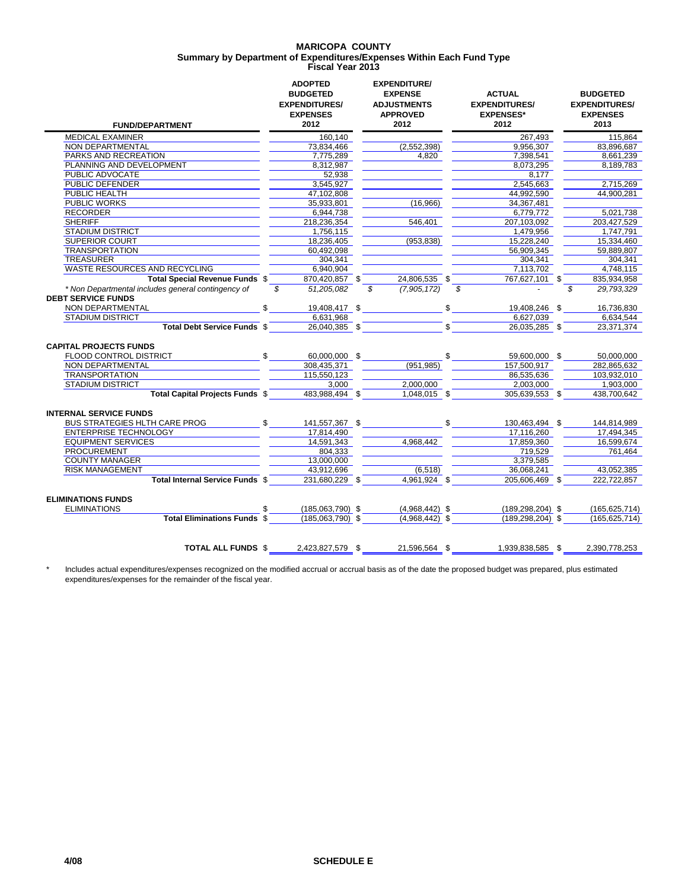#### **MARICOPA COUNTY Fiscal Year 2013 Summary by Department of Expenditures/Expenses Within Each Fund Type**

| <b>FUND/DEPARTMENT</b>                                                          | <b>ADOPTED</b><br><b>BUDGETED</b><br><b>EXPENDITURES/</b><br><b>EXPENSES</b><br>2012 | <b>EXPENDITURE/</b><br><b>EXPENSE</b><br><b>ADJUSTMENTS</b><br><b>APPROVED</b><br>2012 |               | <b>ACTUAL</b><br><b>EXPENDITURES/</b><br><b>EXPENSES*</b><br>2012 | <b>BUDGETED</b><br><b>EXPENDITURES/</b><br><b>EXPENSES</b><br>2013 |
|---------------------------------------------------------------------------------|--------------------------------------------------------------------------------------|----------------------------------------------------------------------------------------|---------------|-------------------------------------------------------------------|--------------------------------------------------------------------|
| <b>MEDICAL EXAMINER</b>                                                         | 160,140                                                                              |                                                                                        |               | 267,493                                                           | 115,864                                                            |
| NON DEPARTMENTAL                                                                | 73,834,466                                                                           | (2,552,398)                                                                            |               | 9,956,307                                                         | 83,896,687                                                         |
| <b>PARKS AND RECREATION</b>                                                     | 7,775,289                                                                            | 4.820                                                                                  |               | 7,398,541                                                         | 8,661,239                                                          |
| PLANNING AND DEVELOPMENT                                                        | 8,312,987                                                                            |                                                                                        |               | 8,073,295                                                         | 8,189,783                                                          |
| PUBLIC ADVOCATE                                                                 | 52,938                                                                               |                                                                                        |               | 8,177                                                             |                                                                    |
| PUBLIC DEFENDER                                                                 | 3,545,927                                                                            |                                                                                        |               | 2,545,663                                                         | 2,715,269                                                          |
| PUBLIC HEALTH                                                                   | 47,102,808                                                                           |                                                                                        |               | 44,992,590                                                        | 44,900,281                                                         |
| <b>PUBLIC WORKS</b>                                                             | 35,933,801                                                                           | (16,966)                                                                               |               | 34,367,481                                                        |                                                                    |
| <b>RECORDER</b>                                                                 | 6.944.738                                                                            |                                                                                        |               | 6.779.772                                                         | 5.021.738                                                          |
| <b>SHERIFF</b>                                                                  | 218,236,354                                                                          | 546,401                                                                                |               | 207,103,092                                                       | 203,427,529                                                        |
| <b>STADIUM DISTRICT</b>                                                         | 1.756.115                                                                            |                                                                                        |               | 1.479.956                                                         | 1.747.791                                                          |
| <b>SUPERIOR COURT</b>                                                           | 18,236,405                                                                           | (953, 838)                                                                             |               | 15,228,240                                                        | 15,334,460                                                         |
| <b>TRANSPORTATION</b>                                                           | 60,492,098                                                                           |                                                                                        |               | 56,909,345                                                        | 59,889,807                                                         |
| <b>TREASURER</b>                                                                | 304.341                                                                              |                                                                                        |               | 304.341                                                           | 304.341                                                            |
| <b>WASTE RESOURCES AND RECYCLING</b>                                            | 6,940,904                                                                            |                                                                                        |               | 7,113,702                                                         | 4,748,115                                                          |
| Total Special Revenue Funds \$                                                  | 870,420,857 \$                                                                       | 24,806,535 \$                                                                          |               | 767,627,101 \$                                                    | 835,934,958                                                        |
| * Non Departmental includes general contingency of<br><b>DEBT SERVICE FUNDS</b> | \$<br>51.205.082                                                                     | (7,905,172)<br>\$                                                                      | \$            |                                                                   | \$<br>29.793.329                                                   |
| NON DEPARTMENTAL                                                                | \$<br>19,408,417 \$                                                                  |                                                                                        | $\mathsf{\$}$ | 19,408,246 \$                                                     | 16,736,830                                                         |
| <b>STADIUM DISTRICT</b>                                                         | 6,631,968                                                                            |                                                                                        |               | 6.627.039                                                         | 6,634,544                                                          |
| Total Debt Service Funds \$                                                     | 26,040,385 \$                                                                        |                                                                                        | $\mathbb{S}$  | 26,035,285 \$                                                     | 23,371,374                                                         |
| <b>CAPITAL PROJECTS FUNDS</b><br>FLOOD CONTROL DISTRICT                         | \$<br>60,000,000 \$                                                                  |                                                                                        | \$            | 59,600,000 \$                                                     | 50,000,000                                                         |
| <b>NON DEPARTMENTAL</b>                                                         | 308.435.371                                                                          | (951, 985)                                                                             |               | 157.500.917                                                       | 282,865,632                                                        |
| <b>TRANSPORTATION</b>                                                           | 115,550,123                                                                          |                                                                                        |               | 86.535.636                                                        | 103.932.010                                                        |
| <b>STADIUM DISTRICT</b>                                                         | 3,000                                                                                | 2,000,000                                                                              |               | 2,003,000                                                         | 1,903,000                                                          |
| <b>Total Capital Projects Funds \$</b>                                          | 483.988.494 \$                                                                       | 1,048,015 \$                                                                           |               | 305,639,553 \$                                                    | 438,700,642                                                        |
| <b>INTERNAL SERVICE FUNDS</b>                                                   |                                                                                      |                                                                                        |               |                                                                   |                                                                    |
| BUS STRATEGIES HLTH CARE PROG \$                                                | 141,557,367 \$                                                                       |                                                                                        |               | $\frac{1}{2}$<br>130,463,494 \$                                   | 144,814,989                                                        |
| <b>ENTERPRISE TECHNOLOGY</b>                                                    | 17,814,490                                                                           |                                                                                        |               | 17,116,260                                                        | 17,494,345                                                         |
| <b>EQUIPMENT SERVICES</b>                                                       | 14,591,343                                                                           | 4.968.442                                                                              |               | 17,859,360                                                        | 16.599.674                                                         |
| <b>PROCUREMENT</b>                                                              | 804,333                                                                              |                                                                                        |               | 719,529                                                           | 761,464                                                            |
| <b>COUNTY MANAGER</b>                                                           | 13,000,000                                                                           |                                                                                        |               | 3,379,585                                                         |                                                                    |
| <b>RISK MANAGEMENT</b>                                                          | 43,912,696                                                                           | (6, 518)                                                                               |               | 36.068.241                                                        | 43,052,385                                                         |
| Total Internal Service Funds \$                                                 | 231,680,229 \$                                                                       | 4,961,924 \$                                                                           |               | 205,606,469 \$                                                    | 222,722,857                                                        |
| <b>ELIMINATIONS FUNDS</b><br><b>ELIMINATIONS</b>                                | $(185,063,790)$ \$                                                                   | $(4,968,442)$ \$                                                                       |               | $(189, 298, 204)$ \$                                              | (165, 625, 714)                                                    |
| <b>Total Eliminations Funds \$</b>                                              | $(185,063,790)$ \$                                                                   | $(4,968,442)$ \$                                                                       |               | $(189, 298, 204)$ \$                                              | (165, 625, 714)                                                    |
| <b>TOTAL ALL FUNDS \$</b>                                                       | 2,423,827,579 \$                                                                     | 21,596,564 \$                                                                          |               | 1.939.838.585 \$                                                  | 2.390.778.253                                                      |
|                                                                                 |                                                                                      |                                                                                        |               |                                                                   |                                                                    |

\* Includes actual expenditures/expenses recognized on the modified accrual or accrual basis as of the date the proposed budget was prepared, plus estimated expenditures/expenses for the remainder of the fiscal year.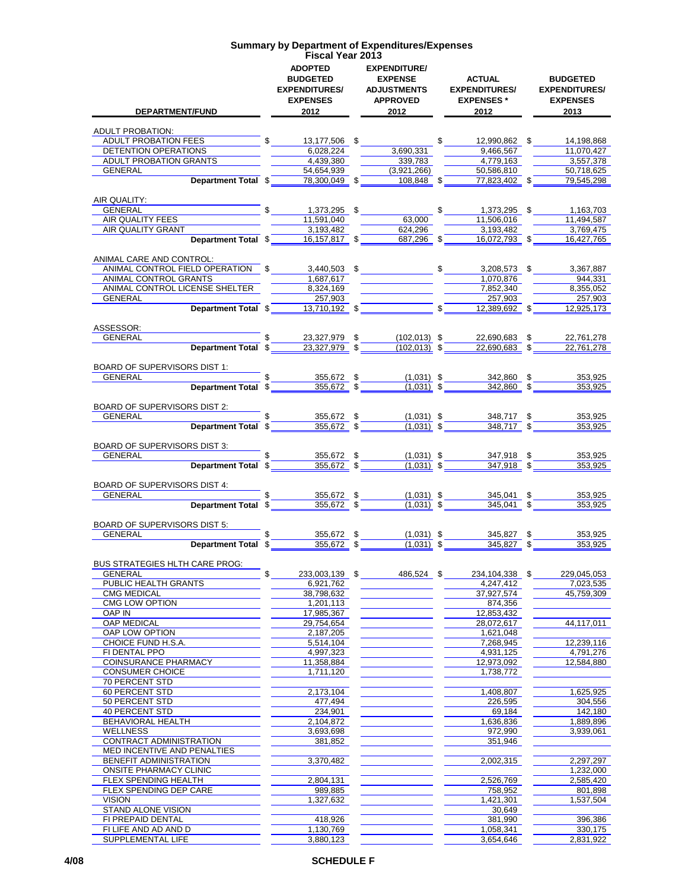| <b>DEPARTMENT/FUND</b>                                                                                                                                                                                                                                           | <b>ADOPTED</b><br><b>BUDGETED</b><br><b>EXPENDITURES/</b><br><b>EXPENSES</b><br>2012 | <b>EXPENDITURE/</b><br><b>EXPENSE</b><br><b>ADJUSTMENTS</b><br><b>APPROVED</b><br>2012 | ACTUAL<br><b>EXPENDITURES/</b><br><b>EXPENSES</b> *<br>2012 2013                                         | <b>BUDGETED</b><br><b>EXPENDITURES/</b><br><b>EXPENSES</b><br>2013 |
|------------------------------------------------------------------------------------------------------------------------------------------------------------------------------------------------------------------------------------------------------------------|--------------------------------------------------------------------------------------|----------------------------------------------------------------------------------------|----------------------------------------------------------------------------------------------------------|--------------------------------------------------------------------|
| <b>ADULT PROBATION:</b>                                                                                                                                                                                                                                          |                                                                                      |                                                                                        |                                                                                                          |                                                                    |
| ADULT PROBATION FEES                                                                                                                                                                                                                                             | $$13,177,506$ \$                                                                     |                                                                                        | $$12,990,862$ \$                                                                                         | 14,198,868                                                         |
| DETENTION OPERATIONS<br>ADULT PROBATION GRANTS                                                                                                                                                                                                                   | 6,028,224<br>4.439.380                                                               | 3,690,331<br>339,783                                                                   | 9,466,567<br>4.779.163                                                                                   | 11,070,427<br>3,557,378                                            |
| GENERAL                                                                                                                                                                                                                                                          | 54,654,939                                                                           | (3,921,266)                                                                            | 50,586,810                                                                                               | 50,718,625                                                         |
| Department Total \$                                                                                                                                                                                                                                              |                                                                                      | $78,300,049$ \$ 108,848 \$                                                             | 77.823.402 \$                                                                                            | 79,545,298                                                         |
|                                                                                                                                                                                                                                                                  |                                                                                      |                                                                                        |                                                                                                          |                                                                    |
| AIR QUALITY:                                                                                                                                                                                                                                                     |                                                                                      |                                                                                        |                                                                                                          |                                                                    |
| GENERAL <b>CONTRACT CONTRACT CONTRACT CONTRACT CONTRACT CONTRACT CONTRACT CONTRACT CONTRACT CONTRACT CONTRACT CONTRACT CONTRACT CONTRACT CONTRACT CONTRACT CONTRACT CONTRACT CONTRACT CONTRACT CONTRACT CONTRACT CONTRACT CONTRA</b><br>AIR QUALITY FEES         | $$ 1,373,295$ \$<br>11,591,040                                                       | 63,000                                                                                 | $\mathsf{\$}$<br>1,373,295 \$<br>11,506,016                                                              | 1,163,703<br>11,494,587                                            |
| AIR QUALITY GRANT                                                                                                                                                                                                                                                | 3,193,482                                                                            | 624,296                                                                                | 3,193,482                                                                                                | 3,769,475                                                          |
|                                                                                                                                                                                                                                                                  | Department Total \$ _____ 16,157,817 \$                                              | 687,296 \$                                                                             | 16,072,793 \$                                                                                            | 16,427,765                                                         |
|                                                                                                                                                                                                                                                                  |                                                                                      |                                                                                        |                                                                                                          |                                                                    |
| ANIMAL CARE AND CONTROL:                                                                                                                                                                                                                                         |                                                                                      |                                                                                        |                                                                                                          |                                                                    |
| ANIMAL CONTROL FIELD OPERATION \$<br>ANIMAL CONTROL GRANTS                                                                                                                                                                                                       | 1,687,617                                                                            |                                                                                        | $3,440,503$ \$ $$$ 3,208,573 \$<br>1,070,876                                                             | 3,367,887<br>944,331                                               |
| ANIMAL CONTROL LICENSE SHELTER                                                                                                                                                                                                                                   | 8,324,169                                                                            |                                                                                        | 7,852,340                                                                                                | 8,355,052                                                          |
| GENERAL                                                                                                                                                                                                                                                          | 257.903                                                                              |                                                                                        | 257,903                                                                                                  | 257,903                                                            |
| Department Total \$                                                                                                                                                                                                                                              |                                                                                      | $13,710,192$ \$                                                                        | $\int$<br>$12,389,692$ \$                                                                                | 12,925,173                                                         |
|                                                                                                                                                                                                                                                                  |                                                                                      |                                                                                        |                                                                                                          |                                                                    |
| ASSESSOR:                                                                                                                                                                                                                                                        |                                                                                      | 23,327,979 \$ (102,013) \$                                                             |                                                                                                          | 22,761,278                                                         |
| GENERAL                                                                                                                                                                                                                                                          | $\sqrt{2}$<br>Department Total \$23,327,979 \$200                                    |                                                                                        | 22,690,683 \$<br>$(102,013)$ \$ 22,690,683 \$                                                            | 22.761.278                                                         |
|                                                                                                                                                                                                                                                                  |                                                                                      |                                                                                        |                                                                                                          |                                                                    |
| BOARD OF SUPERVISORS DIST 1:                                                                                                                                                                                                                                     |                                                                                      |                                                                                        |                                                                                                          |                                                                    |
| GENERAL<br>Department Total \$                                                                                                                                                                                                                                   | $\frac{355,672}{355,672}$ \$                                                         | $\frac{(1,031)}{(1,031)}$ \$                                                           | $\frac{342,860}{342,860}$ \$                                                                             | 353.925                                                            |
|                                                                                                                                                                                                                                                                  |                                                                                      |                                                                                        |                                                                                                          | 353,925                                                            |
| BOARD OF SUPERVISORS DIST 2:                                                                                                                                                                                                                                     |                                                                                      |                                                                                        |                                                                                                          |                                                                    |
| GENERAL                                                                                                                                                                                                                                                          |                                                                                      |                                                                                        |                                                                                                          | 353,925                                                            |
| Department Total \$                                                                                                                                                                                                                                              | $\frac{355,672}{355,672}$ \$                                                         |                                                                                        | $\frac{(1,031)}{(1,031)}$ \$ 348,717 \$<br>$348,717$ \$                                                  | 353,925                                                            |
|                                                                                                                                                                                                                                                                  |                                                                                      |                                                                                        |                                                                                                          |                                                                    |
| BOARD OF SUPERVISORS DIST 3:                                                                                                                                                                                                                                     |                                                                                      |                                                                                        |                                                                                                          |                                                                    |
| <b>Department Total</b> \$<br><b>GENERAL EXECUTIVE SERVICE SERVICE SERVICE SERVICE SERVICE SERVICE SERVICE SERVICE SERVICE SERVICE SERVICE SERVICE SERVICE SERVICE SERVICE SERVICE SERVICE SERVICE SERVICE SERVICE SERVICE SERVICE SERVICE SERVICE SERVICE S</b> |                                                                                      |                                                                                        | $355,672$ \$ $(1,031)$ \$ $347,918$ \$<br>355,672 \$ $(1,031)$ \$ $347,918$ \$<br>$\frac{347,918}{9}$ \$ | 353,925<br>353,925                                                 |
|                                                                                                                                                                                                                                                                  |                                                                                      |                                                                                        |                                                                                                          |                                                                    |
| BOARD OF SUPERVISORS DIST 4:                                                                                                                                                                                                                                     |                                                                                      |                                                                                        |                                                                                                          |                                                                    |
| GENERAL                                                                                                                                                                                                                                                          | 355,672 \$                                                                           | $(1,031)$ \$                                                                           | 345,041 \$                                                                                               | 353,925                                                            |
| Department Total \$                                                                                                                                                                                                                                              | $\frac{355,672}{8}$ \$                                                               | $(1,031)$ \$                                                                           | $345,041$ \$                                                                                             | 353,925                                                            |
| BOARD OF SUPERVISORS DIST 5:                                                                                                                                                                                                                                     |                                                                                      |                                                                                        |                                                                                                          |                                                                    |
| GENERAL                                                                                                                                                                                                                                                          | 355,672 \$                                                                           | $(1,031)$ \$                                                                           | 345,827 \$                                                                                               | 353,925                                                            |
| Department Total \$                                                                                                                                                                                                                                              | $355,672$ \$                                                                         | $(1,031)$ \$                                                                           | 345.827 \$                                                                                               | 353,925                                                            |
|                                                                                                                                                                                                                                                                  |                                                                                      |                                                                                        |                                                                                                          |                                                                    |
| <b>BUS STRATEGIES HLTH CARE PROG:</b><br><b>GENERAL</b>                                                                                                                                                                                                          | \$                                                                                   | 486,524 \$                                                                             |                                                                                                          | 229,045,053                                                        |
| PUBLIC HEALTH GRANTS                                                                                                                                                                                                                                             | 233,003,139 \$<br>6,921,762                                                          |                                                                                        | 234,104,338 \$<br>4,247,412                                                                              | 7,023,535                                                          |
| <b>CMG MEDICAL</b>                                                                                                                                                                                                                                               | 38,798,632                                                                           |                                                                                        | 37,927,574                                                                                               | 45,759,309                                                         |
| CMG LOW OPTION                                                                                                                                                                                                                                                   | 1,201,113                                                                            |                                                                                        | 874,356                                                                                                  |                                                                    |
| <b>OAP IN</b>                                                                                                                                                                                                                                                    | 17,985,367                                                                           |                                                                                        | 12.853.432                                                                                               |                                                                    |
| <b>OAP MEDICAL</b><br>OAP LOW OPTION                                                                                                                                                                                                                             | 29,754,654                                                                           |                                                                                        | 28,072,617<br>1,621,048                                                                                  | 44,117,011                                                         |
| CHOICE FUND H.S.A.                                                                                                                                                                                                                                               | 2,187,205<br>5,514,104                                                               |                                                                                        | 7,268,945                                                                                                | 12,239,116                                                         |
| FI DENTAL PPO                                                                                                                                                                                                                                                    | 4,997,323                                                                            |                                                                                        | 4,931,125                                                                                                | 4,791,276                                                          |
| COINSURANCE PHARMACY                                                                                                                                                                                                                                             | 11,358,884                                                                           |                                                                                        | 12,973,092                                                                                               | 12,584,880                                                         |
| <b>CONSUMER CHOICE</b>                                                                                                                                                                                                                                           | 1,711,120                                                                            |                                                                                        | 1,738,772                                                                                                |                                                                    |
| <b>70 PERCENT STD</b>                                                                                                                                                                                                                                            |                                                                                      |                                                                                        |                                                                                                          |                                                                    |
| <b>60 PERCENT STD</b><br>50 PERCENT STD                                                                                                                                                                                                                          | 2,173,104<br>477,494                                                                 |                                                                                        | 1,408,807<br>226,595                                                                                     | 1,625,925<br>304,556                                               |
| <b>40 PERCENT STD</b>                                                                                                                                                                                                                                            | 234,901                                                                              |                                                                                        | 69,184                                                                                                   | 142,180                                                            |
| BEHAVIORAL HEALTH                                                                                                                                                                                                                                                | 2,104,872                                                                            |                                                                                        | 1,636,836                                                                                                | 1,889,896                                                          |
| <b>WELLNESS</b>                                                                                                                                                                                                                                                  | 3,693,698                                                                            |                                                                                        | 972,990                                                                                                  | 3,939,061                                                          |
| <b>CONTRACT ADMINISTRATION</b>                                                                                                                                                                                                                                   | 381,852                                                                              |                                                                                        | 351,946                                                                                                  |                                                                    |
| MED INCENTIVE AND PENALTIES                                                                                                                                                                                                                                      |                                                                                      |                                                                                        |                                                                                                          |                                                                    |
| BENEFIT ADMINISTRATION<br><b>ONSITE PHARMACY CLINIC</b>                                                                                                                                                                                                          | 3,370,482                                                                            |                                                                                        | 2,002,315                                                                                                | 2,297,297<br>1,232,000                                             |
| FLEX SPENDING HEALTH                                                                                                                                                                                                                                             | 2,804,131                                                                            |                                                                                        | 2,526,769                                                                                                | 2,585,420                                                          |
| FLEX SPENDING DEP CARE                                                                                                                                                                                                                                           | 989,885                                                                              |                                                                                        | 758,952                                                                                                  | 801,898                                                            |
| <b>VISION</b>                                                                                                                                                                                                                                                    | 1,327,632                                                                            |                                                                                        | 1,421,301                                                                                                | 1,537,504                                                          |
| STAND ALONE VISION                                                                                                                                                                                                                                               |                                                                                      |                                                                                        | 30,649                                                                                                   |                                                                    |
| FI PREPAID DENTAL                                                                                                                                                                                                                                                | 418,926                                                                              |                                                                                        | 381,990                                                                                                  | 396,386                                                            |
| FI LIFE AND AD AND D<br>SUPPLEMENTAL LIFE                                                                                                                                                                                                                        | 1,130,769<br>3,880,123                                                               |                                                                                        | 1,058,341<br>3,654,646                                                                                   | 330,175<br>2,831,922                                               |
|                                                                                                                                                                                                                                                                  |                                                                                      |                                                                                        |                                                                                                          |                                                                    |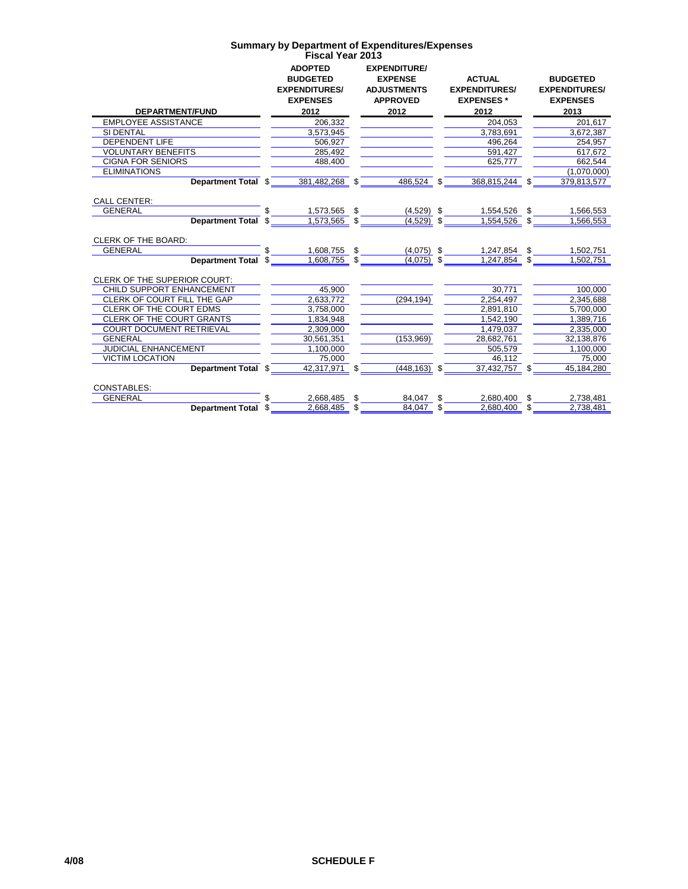|                                                             | <b>ADOPTED</b><br><b>BUDGETED</b><br><b>EXPENDITURES/</b><br><b>EXPENSES</b> |      | <b>EXPENDITURE/</b><br><b>EXPENSE</b><br><b>ADJUSTMENTS</b><br><b>APPROVED</b> |     | <b>ACTUAL</b><br><b>EXPENDITURES/</b><br><b>EXPENSES*</b> |     | <b>BUDGETED</b><br><b>EXPENDITURES/</b><br><b>EXPENSES</b> |
|-------------------------------------------------------------|------------------------------------------------------------------------------|------|--------------------------------------------------------------------------------|-----|-----------------------------------------------------------|-----|------------------------------------------------------------|
| <b>DEPARTMENT/FUND</b>                                      | 2012                                                                         |      | 2012                                                                           |     | 2012                                                      |     | 2013                                                       |
| <b>EMPLOYEE ASSISTANCE</b><br>SI DENTAL                     | 206,332                                                                      |      |                                                                                |     | 204,053<br>3.783.691                                      |     | 201,617<br>3.672.387                                       |
| <b>DEPENDENT LIFE</b>                                       | 3,573,945<br>506.927                                                         |      |                                                                                |     | 496.264                                                   |     | 254.957                                                    |
| <b>VOLUNTARY BENEFITS</b>                                   | 285,492                                                                      |      |                                                                                |     | 591.427                                                   |     | 617.672                                                    |
| <b>CIGNA FOR SENIORS</b>                                    | 488,400                                                                      |      |                                                                                |     | 625.777                                                   |     | 662,544                                                    |
| <b>ELIMINATIONS</b>                                         |                                                                              |      |                                                                                |     |                                                           |     | (1,070,000)                                                |
| Department Total \$                                         | 381.482.268                                                                  | \$   | 486.524                                                                        | \$  | 368.815.244                                               |     | 379.813.577                                                |
|                                                             |                                                                              |      |                                                                                |     |                                                           |     |                                                            |
| <b>CALL CENTER:</b>                                         |                                                                              |      |                                                                                |     |                                                           |     |                                                            |
| <b>GENERAL</b>                                              | 1,573,565                                                                    | \$   | $(4,529)$ \$                                                                   |     | 1,554,526                                                 |     | 1,566,553                                                  |
| Department Total \$                                         | 1,573,565                                                                    | \$   | $(4,529)$ \$                                                                   |     | 1,554,526                                                 |     | 1,566,553                                                  |
|                                                             |                                                                              |      |                                                                                |     |                                                           |     |                                                            |
| <b>CLERK OF THE BOARD:</b>                                  |                                                                              |      |                                                                                |     |                                                           |     |                                                            |
| <b>GENERAL</b>                                              | 1,608,755                                                                    | \$   | $(4,075)$ \$                                                                   |     | 1,247,854                                                 | \$. | 1,502,751                                                  |
| <b>Department Total</b>                                     | 1,608,755                                                                    | - \$ | $(4,075)$ \$                                                                   |     | 1,247,854                                                 |     | 1.502.751                                                  |
|                                                             |                                                                              |      |                                                                                |     |                                                           |     |                                                            |
| <b>CLERK OF THE SUPERIOR COURT:</b>                         |                                                                              |      |                                                                                |     |                                                           |     |                                                            |
| <b>CHILD SUPPORT ENHANCEMENT</b>                            | 45,900                                                                       |      |                                                                                |     | 30.771                                                    |     | 100,000                                                    |
| CLERK OF COURT FILL THE GAP                                 | 2.633.772                                                                    |      | (294, 194)                                                                     |     | 2,254,497                                                 |     | 2,345,688                                                  |
| CLERK OF THE COURT EDMS<br><b>CLERK OF THE COURT GRANTS</b> | 3.758.000                                                                    |      |                                                                                |     | 2.891.810                                                 |     | 5,700,000                                                  |
| <b>COURT DOCUMENT RETRIEVAL</b>                             | 1.834.948                                                                    |      |                                                                                |     | 1.542.190                                                 |     | 1.389.716                                                  |
| <b>GENERAL</b>                                              | 2,309,000                                                                    |      | (153,969)                                                                      |     | 1,479,037                                                 |     | 2,335,000<br>32.138.876                                    |
| <b>JUDICIAL ENHANCEMENT</b>                                 | 30,561,351<br>1,100,000                                                      |      |                                                                                |     | 28,682,761<br>505,579                                     |     | 1,100,000                                                  |
| <b>VICTIM LOCATION</b>                                      | 75.000                                                                       |      |                                                                                |     | 46.112                                                    |     | 75.000                                                     |
| Department Total \$                                         | 42,317,971                                                                   | \$   | $(448, 163)$ \$                                                                |     | $37,432,757$ \$                                           |     | 45,184,280                                                 |
|                                                             |                                                                              |      |                                                                                |     |                                                           |     |                                                            |
| <b>CONSTABLES:</b>                                          |                                                                              |      |                                                                                |     |                                                           |     |                                                            |
| <b>GENERAL</b>                                              | 2,668,485                                                                    | \$   | 84,047                                                                         | \$. | 2,680,400                                                 | \$. | 2,738,481                                                  |
| <b>Department Total</b>                                     | 2.668.485                                                                    | \$   | 84.047                                                                         | \$. | 2.680.400                                                 | \$. | 2,738,481                                                  |
|                                                             |                                                                              |      |                                                                                |     |                                                           |     |                                                            |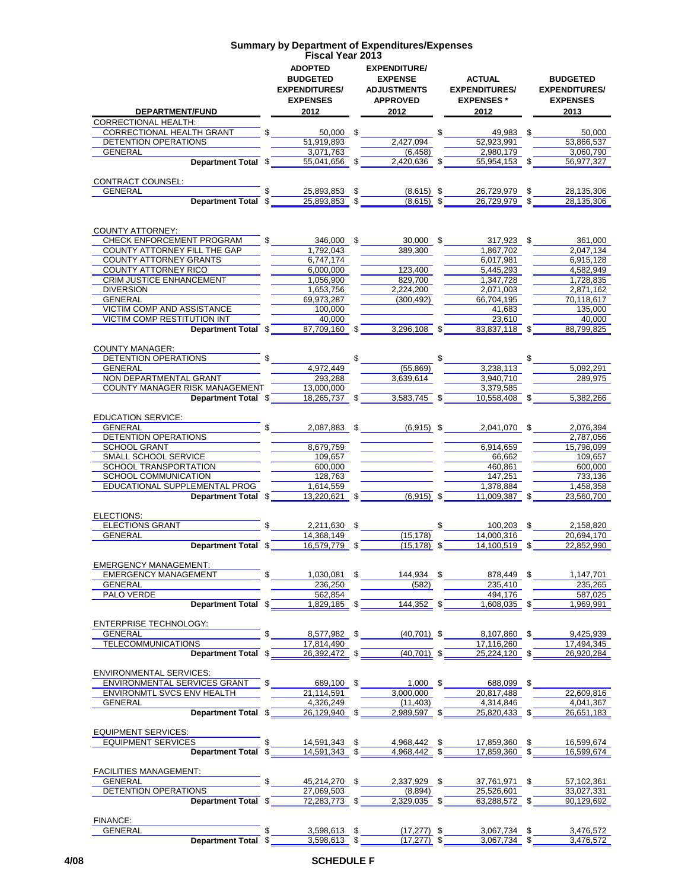#### **ADOPTED BUDGETED EXPENDITURES/ EXPENSES EXPENDITURE/ EXPENSE ADJUSTMENTS APPROVED ACTUAL EXPENDITURES/ EXPENSES \* BUDGETED EXPENDITURES/ EXPENSES DEPARTMENT/FUND 2012 2012 2012 2013 Summary by Department of Expenditures/Expenses Fiscal Year 2013** CORRECTIONAL HEALTH:  $\frac{\text{CORRECTIONAL HEALTH GRANT}}{\text{DEFINION} \text{ OPERATIONS}}$  \$ $\frac{50,000}{51,919,893}$  \$ $\frac{49,983}{52,923,991}$  \$ $\frac{50,000}{53,866,537}$ DETENTION OPERATIONS 51,919,893 2,427,094 52,923,991 53,866,537<br>GENERAL 3,071,763 6.458) 53,080,790 52,980,179 3,060,790 GENERAL 3,071,763 (6,458) 2,980,179 3,060,790 **Department Total** \$ 55,041,656 \$ 2,420,636 \$ 55,954,153 \$ 56,977,327 CONTRACT COUNSEL: GENERAL \$ 25,893,853 \$ (8,615) \$ 26,729,979 \$ 28,135,306 **Department Total**  $\sqrt[3]{\hspace{1cm}}$  **25,893,853**  $\sqrt[3]{\hspace{1cm}}$  8,615)  $\sqrt[3]{\hspace{1cm}}$  26,729,979  $\sqrt[3]{\hspace{1cm}}$  28,135,306 COUNTY ATTORNEY: CHECK ENFORCEMENT PROGRAM  $$346,000$   $$30,000$   $$389,300$   $$317,923$   $$307,702$   $$389,702$   $$361,000$   $$389,300$   $$4,867,702$   $$2,047,134$ COUNTY ATTORNEY FILL THE GAP 1,792,043 389,300 1,867,702  $\overline{COMITY\ ATTORNEY\ GRANTS}$   $\overline{6,747,174}$   $\overline{6,747,174}$   $\overline{6,000,000}$   $\overline{6,000,000}$   $\overline{6,0017,981}$   $\overline{6,017,981}$   $\overline{6,915,128}$   $\overline{6,915,128}$   $\overline{6,915,128}$   $\overline{6,915,128}$   $\overline{6,915,128}$   $\overline{6,915,128}$  $\overline{\text{COUNTY} \text{ ATTORN EY RICO}}$   $\overline{\text{CREM} \text{ JUSTICE ENHANCEMENT}}$   $\overline{\text{A},056,900}}$   $\overline{\text{A},056,900}}$   $\overline{\text{A23,400}}$ CRIM JUSTICE ENHANCEMENT 1,056,900 829,700 829,700 1,728,835 DIVERSION 1,653,756 2,224,200 2,071,003 2,871,162 GENERAL 69,973,287 (300,492) 66,704,195 70,118,617 VICTIM COMP AND ASSISTANCE 100,000 100,000 100,000 11.683 135,000 VICTIM COMP RESTITUTION INT <br>Department Total  $\frac{23,610}{87,709,160}$   $\frac{23,296,108}{3,296,108}$   $\frac{23,610}{83,837,118}$   $\frac{40,000}{83,799,825}$ **Department Total \$ 87,709,160 \$ 3,296,108 \$** COUNTY MANAGER:  $\overline{DEF}$   $\overline{DEF}$   $\overline{DEF}$   $\overline{DEF}$   $\overline{DEF}$   $\overline{DEF}$   $\overline{DEF}$   $\overline{DEF}$   $\overline{DEF}$   $\overline{DEF}$   $\overline{DEF}$   $\overline{DEF}$   $\overline{DEF}$   $\overline{DEF}$   $\overline{DEF}$   $\overline{DEF}$   $\overline{DEF}$   $\overline{DEF}$   $\overline{DEF}$   $\overline{DEF}$   $\overline{DEF}$   $\overline{DEF}$   $\overline{DEF}$   $\overline{DEF}$   $\overline{$ GENERAL 4,972,449 (55,869) 3,238,113 5,092,291 NON DEPARTMENTAL GRANT 293,288 293,288 3,639,614 3,940,710 289,975 289,975  $\overline{\text{COUNTY MANAGER RISK MANAGEMENT}}$   $\overline{\text{13,000,000}}$   $\overline{\text{13,583,745}}$   $\overline{\text{3,579,585}}$   $\overline{\text{3,379,585}}$   $\overline{\text{3,583,745}}$   $\overline{\text{3,579,585}}$   $\overline{\text{3,583,745}}$   $\overline{\text{3,583,745}}$   $\overline{\text{3,583,745}}$   $\overline{\text{3,583,745}}$   $\overline{\text{$ **Department Total \$** 18,265,737 \$ 3,583,745 \$ 10,558,408 \$ 5,382,266 EDUCATION SERVICE:<br>GENERAL GENERAL \$ 2,087,883 \$ (6,915) \$ 2,041,070 \$ 2,076,394 DETENTION OPERATIONS 2,787,056<br>SCHOOL GRANT 2,787,056<br>2,787,056<br>2,787,056 SCHOOL GRANT 8,679,759 6,914,659 5MALL SCHOOL GRANT 5MALL SCHOOL SERVICE 109,657 SMALL SCHOOL SERVICE SCHOOL TRANSPORTATION 600,000 600,000 100000 460,861 600,000 SCHOOL COMMUNICATION 128,763 128,763 128,763 147,251 147,251 733,136<br>EDUCATIONAL SUPPLEMENTAL PROG 1,614,559 1,378,884 1,378,884 1,458,358  $E$ DUCATIONAL SUPPLEMENTAL PROG  $\overline{1,614,559}$   $\overline{1,614,559}$   $\overline{5,614,559}$   $\overline{6,915}$   $\overline{5,614,559}$   $\overline{6,915}$   $\overline{6,915}$   $\overline{6,915}$   $\overline{6,915}$   $\overline{6,915}$   $\overline{6,915}$   $\overline{6,915}$   $\overline{6,915}$   $\overline$ **Department Total**  $\frac{1}{2}$  $\frac{13,220,621}{4}$  $\frac{1}{2}$  $\frac{1}{2}$  $\frac{1}{6,915}$  $\frac{1}{2}$  $\frac{11,009,387}{4}$  $\frac{1}{2}$  $\frac{23,560,700}{4}$ ELECTIONS:  $\overline{ELECTIONS GRANT}$  \$  $\overline{2,211,630}$  \$  $\overline{3,211,630}$  \$  $\overline{14,368,149}$   $\overline{14,000,316}$  \$  $\overline{20,694,170}$ GENERAL 14,368,149 (15,178) 14,000,316 20,694,170 **Department Total**  $\frac{1}{3}$  **16,579,779**  $\frac{1}{3}$  **(15,178)**  $\frac{1}{3}$  **14,100,519**  $\frac{1}{3}$  **22,852,990** EMERGENCY MANAGEMENT: EMERGENCY MANAGEMENT  $\overline{\text{S}}$   $\overline{\text{S}36,250}$   $\overline{\text{S}236,250}$   $\overline{\text{S}235,449}$   $\overline{\text{S}235,449}$   $\overline{\text{S}235,440}$   $\overline{\text{S}235,265}$ GENERAL 236,250 (582) 235,410 235,265 PALO VERDE 562,854 494,176 587,025 **Department Total**  $\sqrt[3]{}$  **1,829,185**  $\sqrt[3]{}$  **144,352**  $\sqrt[3]{}$  **1,608,035**  $\sqrt[3]{}$  **1,969,991** ENTERPRISE TECHNOLOGY: GENERAL \$ 8,577,982 \$ (40,701) \$ 8,107,860 \$ 9,425,939 TELECOMMUNICATIONS<br> **Department Total** \$ 26,392,472 \$ 40,701) \$ 25,224,120 \$ 26,920,284 **Department Total**  $\sqrt[3]{\hspace{1cm}}$  **26,392,472**  $\sqrt[3]{\hspace{1cm}}$  $\sqrt[3]{\hspace{1cm}}$  $\sqrt[3]{\hspace{1cm}}$  $\sqrt[3]{\hspace{1cm}}$  $\sqrt[3]{\hspace{1cm}}$  $\sqrt[3]{\hspace{1cm}}$  $\sqrt[3]{\hspace{1cm}}$  $\sqrt[3]{\hspace{1cm}}$  $\sqrt[3]{\hspace{1cm}}$  $\sqrt[3]{\hspace{1cm}}$  $\sqrt[3]{\hspace{1cm}}$  **\sqrt[3]{\hspace{1cm}}** ENVIRONMENTAL SERVICES: ENVIRONMENTAL SERVICES GRANT \$ 689,100 \$ 1,000 \$ 688,099 \$ ENVIRONMTL SVCS ENV HEALTH 21,114,591 23,000,000 20,817,488 22,609,816<br>GENERAL 4,326,249 (11,403) 4,314,846 4,041,367 GENERAL 4,326,249 (11,403) 4,314,846 4,041,367 **Department Total**  $\overline{3}$  26,129,940  $\overline{3}$  2,989,597  $\overline{3}$  25,820,433  $\overline{3}$  26,651,183 EQUIPMENT SERVICES: EQUIPMENT SERVICES **14,591,343** \$ 14,591,343 \$ 4,968,442 \$ 17,859,360 \$ 16,599,674 **Department Total**  $\frac{1}{2}$  **\$** 14,591,343  $\frac{1}{2}$   $\frac{1}{2}$  4,968,442  $\frac{1}{2}$   $\frac{1}{2}$  17,859,360  $\frac{1}{2}$  16,599,674 FACILITIES MANAGEMENT: GENERAL **6** 57,102,361 **\$** 45,214,270 \$ 2,337,929 \$ 37,761,971 \$ 57,102,361 DETENTION OPERATIONS<br>
Department Total  $\frac{27,069,503}{72,283,773}$   $\frac{1}{3}$   $\frac{1}{2,329,035}$   $\frac{25,526,601}{63,288,572}$   $\frac{33,027,331}{90,129,692}$ **Department Total \$** FINANCE:<br>GENERAL  $\frac{$}{8}$  3,598,613 \$ (17,277) \$ 3,067,734 \$ 3,476,572<br> $\frac{$}{8}$  3,598,613 \$ (17,277) \$ 3,067,734 \$ 3,476,572 **Department Total** \$ 3,598,613 \$ (17,277) \$ 3,067,734 \$ 3,476,572

### **4/08 SCHEDULE F**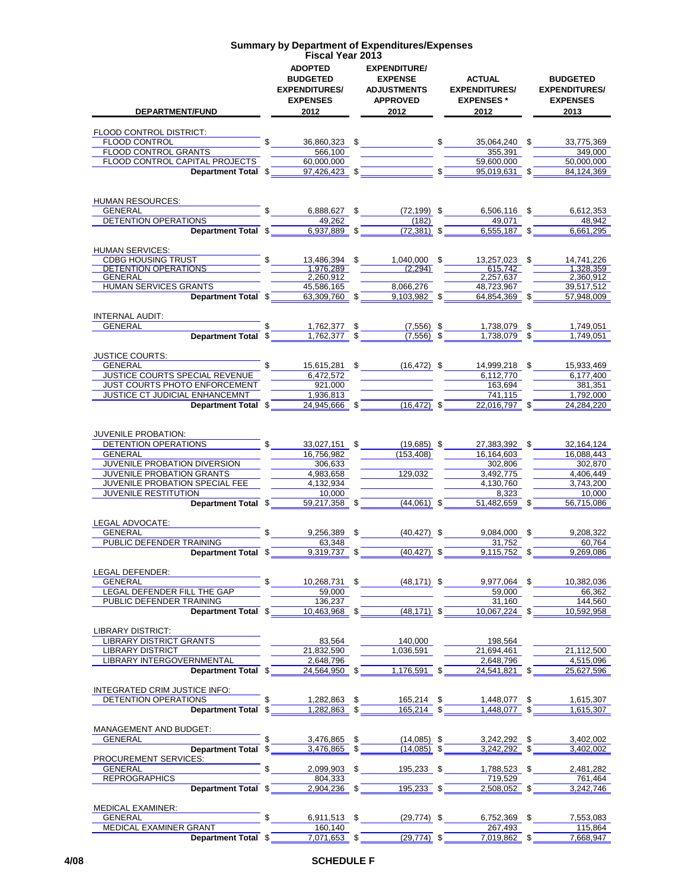| DEPARTMENT/FUND                                            | <b>ADOPTED</b><br><b>BUDGETED</b><br><b>EXPENDITURES/</b><br><b>EXPENSES</b><br>2012 | <b>EXPENDITURE/</b><br><b>EXPENSE</b><br><b>ADJUSTMENTS</b><br><b>APPROVED</b><br>2012 |              | <b>ACTUAL</b><br><b>EXPENDITURES/</b><br><b>EXPENSES*</b><br>2012 | <b>BUDGETED</b><br><b>EXPENDITURES/</b><br><b>EXPENSES</b><br>2013 |
|------------------------------------------------------------|--------------------------------------------------------------------------------------|----------------------------------------------------------------------------------------|--------------|-------------------------------------------------------------------|--------------------------------------------------------------------|
| FLOOD CONTROL DISTRICT:                                    |                                                                                      |                                                                                        |              |                                                                   |                                                                    |
| FLOOD CONTROL<br>FLOOD CONTROL GRANTS                      | \$<br>36,860,323 \$<br>566,100                                                       |                                                                                        | $\mathbb{S}$ | 35.064.240 \$<br>355,391                                          | 33,775,369<br>349,000                                              |
| FLOOD CONTROL CAPITAL PROJECTS                             | 60,000,000                                                                           |                                                                                        |              | 59,600,000                                                        | 50,000,000                                                         |
| Department Total \$                                        | 97.426.423                                                                           | \$                                                                                     | \$           | 95.019.631                                                        | 84.124.369                                                         |
|                                                            |                                                                                      |                                                                                        |              |                                                                   |                                                                    |
| <b>HUMAN RESOURCES:</b><br><b>GENERAL</b>                  | \$<br>6,888,627                                                                      | \$<br>$(72, 199)$ \$                                                                   |              | 6,506,116 \$                                                      | 6,612,353                                                          |
| DETENTION OPERATIONS                                       | 49,262                                                                               | (182)                                                                                  |              | 49.071                                                            | 48,942                                                             |
| Department Total \$                                        | 6,937,889                                                                            | \$<br>(72, 381)                                                                        | \$           | 6,555,187 \$                                                      | 6,661,295                                                          |
| <b>HUMAN SERVICES:</b>                                     |                                                                                      |                                                                                        |              |                                                                   |                                                                    |
| CDBG HOUSING TRUST                                         | 13,486,394 \$                                                                        | 1,040,000                                                                              | \$           | 13,257,023 \$                                                     | 14,741,226                                                         |
| <b>DETENTION OPERATIONS</b><br>GENERAL                     | 1,976,289<br>2,260,912                                                               | (2, 294)                                                                               |              | 615,742<br>2,257,637                                              | 1,328,359<br>2,360,912                                             |
| <b>HUMAN SERVICES GRANTS</b>                               | 45.586.165                                                                           | 8,066,276                                                                              |              | 48,723,967                                                        | 39,517,512                                                         |
| Department Total \$                                        | 63,309,760 \$                                                                        | 9,103,982                                                                              | \$           | 64.854.369 \$                                                     | 57,948,009                                                         |
| <b>INTERNAL AUDIT:</b>                                     |                                                                                      |                                                                                        |              |                                                                   |                                                                    |
| <b>GENERAL</b>                                             | 1,762,377                                                                            | \$<br>$(7,556)$ \$                                                                     |              | 1,738,079 \$                                                      | 1,749,051                                                          |
| Department Total \$                                        | 1,762,377                                                                            | \$<br>$(7,556)$ \$                                                                     |              | 1,738,079                                                         | \$<br>1,749,051                                                    |
| <b>JUSTICE COURTS:</b>                                     | \$.                                                                                  |                                                                                        |              |                                                                   |                                                                    |
| GENERAL<br>JUSTICE COURTS SPECIAL REVENUE                  | 15,615,281 \$<br>6,472,572                                                           | $(16, 472)$ \$                                                                         |              | 14,999,218 \$<br>6,112,770                                        | 15,933,469<br>6.177,400                                            |
| JUST COURTS PHOTO ENFORCEMENT                              | 921,000                                                                              |                                                                                        |              | 163,694                                                           | 381.351                                                            |
| JUSTICE CT JUDICIAL ENHANCEMNT                             | 1,936,813                                                                            |                                                                                        |              | 741,115                                                           | 1,792,000                                                          |
| Department Total \$                                        | 24,945,666 \$                                                                        | $(16, 472)$ \$                                                                         |              | 22,016,797 \$                                                     | 24,284,220                                                         |
| <b>JUVENILE PROBATION:</b>                                 |                                                                                      |                                                                                        |              |                                                                   |                                                                    |
| <b>DETENTION OPERATIONS</b>                                | 33,027,151                                                                           | \$<br>$(19,685)$ \$                                                                    |              | 27,383,392 \$                                                     | 32, 164, 124                                                       |
| <b>GENERAL</b>                                             | 16,756,982                                                                           | (153, 408)                                                                             |              | 16,164,603                                                        | 16,088,443                                                         |
| JUVENILE PROBATION DIVERSION                               | 306,633                                                                              |                                                                                        |              | 302,806                                                           | 302,870                                                            |
| <b>JUVENILE PROBATION GRANTS</b>                           | 4,983,658                                                                            | 129,032                                                                                |              | 3,492,775                                                         | 4,406,449                                                          |
| JUVENILE PROBATION SPECIAL FEE<br>JUVENILE RESTITUTION     | 4,132,934<br>10,000                                                                  |                                                                                        |              | 4,130,760<br>8,323                                                | 3,743,200<br>10,000                                                |
| Department Total \$                                        | 59,217,358                                                                           | \$<br>$(44,061)$ \$                                                                    |              | 51,482,659 \$                                                     | 56.715.086                                                         |
| LEGAL ADVOCATE:                                            |                                                                                      |                                                                                        |              |                                                                   |                                                                    |
| <b>GENERAL</b>                                             | 9,256,389 \$                                                                         | $(40, 427)$ \$                                                                         |              | 9.084.000 \$                                                      | 9,208,322                                                          |
| PUBLIC DEFENDER TRAINING<br>Department Total \$            | 63,348<br>9,319,737                                                                  | \$<br>$(40, 427)$ \$                                                                   |              | 31.752<br>9,115,752 \$                                            | 60.764<br>9.269.086                                                |
|                                                            |                                                                                      |                                                                                        |              |                                                                   |                                                                    |
| LEGAL DEFENDER:<br>GENERAL                                 | \$<br>10,268,731 \$                                                                  | $(48, 171)$ \$                                                                         |              | 9,977,064 \$                                                      | 10,382,036                                                         |
| LEGAL DEFENDER FILL THE GAP                                | 59,000                                                                               |                                                                                        |              | 59,000                                                            | 66,362                                                             |
| PUBLIC DEFENDER TRAINING                                   | 136,237                                                                              |                                                                                        |              | 31,160                                                            | 144,560                                                            |
| Department Total \$                                        | 10,463,968 \$                                                                        | $(48, 171)$ \$                                                                         |              | 10,067,224 \$                                                     | 10,592,958                                                         |
| <b>LIBRARY DISTRICT:</b><br><b>LIBRARY DISTRICT GRANTS</b> | 83,564                                                                               | 140,000                                                                                |              | 198,564                                                           |                                                                    |
| <b>LIBRARY DISTRICT</b>                                    | 21.832.590                                                                           | 1,036,591                                                                              |              | 21,694,461                                                        | 21,112,500                                                         |
| LIBRARY INTERGOVERNMENTAL                                  | 2,648,796                                                                            |                                                                                        |              | 2,648,796                                                         | 4,515,096                                                          |
| Department Total \$                                        | 24,564,950                                                                           | \$<br>1,176,591                                                                        | \$           | 24,541,821 \$                                                     | 25,627,596                                                         |
| INTEGRATED CRIM JUSTICE INFO:                              |                                                                                      |                                                                                        |              |                                                                   |                                                                    |
| DETENTION OPERATIONS                                       | 1,282,863                                                                            | \$<br>165,214 \$                                                                       |              | 1,448,077                                                         | \$<br>1,615,307                                                    |
| Department Total \$                                        | 1,282,863                                                                            | \$<br>165,214 \$                                                                       |              | 1,448,077                                                         | 1,615,307                                                          |
| <b>MANAGEMENT AND BUDGET:</b>                              |                                                                                      |                                                                                        |              |                                                                   |                                                                    |
| GENERAL                                                    | 3,476,865                                                                            | \$<br>$(14,085)$ \$                                                                    |              | 3,242,292 \$                                                      | 3,402,002                                                          |
| <b>Department Total</b>                                    | 3,476,865<br>\$                                                                      | \$<br>(14, 085)                                                                        | \$           | 3,242,292 \$                                                      | 3,402,002                                                          |
| PROCUREMENT SERVICES:                                      | \$                                                                                   |                                                                                        |              |                                                                   |                                                                    |
| <b>GENERAL</b><br><b>REPROGRAPHICS</b>                     | 2,099,903 \$<br>804,333                                                              | 195,233                                                                                | \$           | 1,788,523 \$<br>719,529                                           | 2,481,282<br>761,464                                               |
| Department Total \$                                        | 2,904,236 \$                                                                         | $195,233$ \$                                                                           |              | 2,508,052 \$                                                      | 3,242,746                                                          |
| <b>MEDICAL EXAMINER:</b>                                   |                                                                                      |                                                                                        |              |                                                                   |                                                                    |
| <b>GENERAL</b>                                             | 6,911,513 \$                                                                         | $(29, 774)$ \$                                                                         |              | 6,752,369 \$                                                      | 7,553,083                                                          |
| MEDICAL EXAMINER GRANT                                     | 160,140                                                                              |                                                                                        |              | 267,493                                                           | 115,864                                                            |
| Department Total \$                                        | 7,071,653 \$                                                                         | $(29, 774)$ \$                                                                         |              | 7,019,862 \$                                                      | 7,668,947                                                          |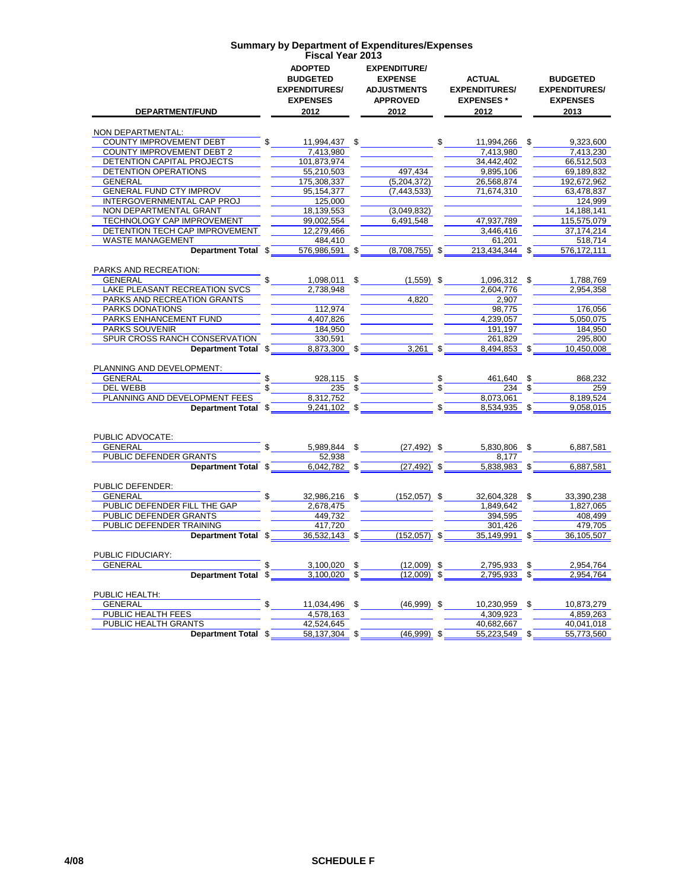| DEPARTMENT/FUND                                      | <b>ADOPTED</b><br><b>BUDGETED</b><br><b>EXPENDITURES/</b><br><b>EXPENSES</b><br>2012 |  | <b>EXPENDITURE/</b><br><b>EXPENSE</b><br><b>ADJUSTMENTS</b><br><b>APPROVED</b><br>2012 |                                                               | ACTUAL<br><b>EXPENDITURES/</b><br><b>EXPENSES*</b><br>2012              |  | <b>BUDGETED</b><br><b>EXPENDITURES/</b><br><b>EXPENSES</b><br>2013 |  |
|------------------------------------------------------|--------------------------------------------------------------------------------------|--|----------------------------------------------------------------------------------------|---------------------------------------------------------------|-------------------------------------------------------------------------|--|--------------------------------------------------------------------|--|
| NON DEPARTMENTAL:                                    |                                                                                      |  |                                                                                        |                                                               |                                                                         |  |                                                                    |  |
| <b>COUNTY IMPROVEMENT DEBT</b>                       | $\mathbb{S}$                                                                         |  |                                                                                        |                                                               | 11,994,437 \$ \$ 11,994,266 \$ 9,323,600                                |  |                                                                    |  |
| <b>COUNTY IMPROVEMENT DEBT 2</b>                     | 7,413,980                                                                            |  |                                                                                        |                                                               | 7,413,980                                                               |  | 7,413,230                                                          |  |
| DETENTION CAPITAL PROJECTS                           | 101,873,974                                                                          |  |                                                                                        |                                                               | 34,442,402                                                              |  | 66,512,503                                                         |  |
| DETENTION OPERATIONS                                 | 55,210,503                                                                           |  | 497,434                                                                                |                                                               | 9,895,106                                                               |  | 69,189,832                                                         |  |
| GENERAL                                              | 175,308,337                                                                          |  | (5,204,372)                                                                            |                                                               | 26,568,874                                                              |  | 192,672,962                                                        |  |
| <b>GENERAL FUND CTY IMPROV</b>                       | 95, 154, 377                                                                         |  | (7, 443, 533)                                                                          |                                                               | 71,674,310                                                              |  | 63,478,837                                                         |  |
| INTERGOVERNMENTAL CAP PROJ                           | 125,000                                                                              |  |                                                                                        |                                                               |                                                                         |  | 124,999                                                            |  |
| NON DEPARTMENTAL GRANT<br>TECHNOLOGY CAP IMPROVEMENT | 18,139,553<br>99,002,554                                                             |  | (3,049,832)<br>6,491,548                                                               |                                                               | 47,937,789                                                              |  | 14,188,141<br>115,575,079                                          |  |
| DETENTION TECH CAP IMPROVEMENT                       | 12,279,466                                                                           |  |                                                                                        |                                                               | 3,446,416                                                               |  | 37,174,214                                                         |  |
| <b>WASTE MANAGEMENT</b>                              | 484,410                                                                              |  |                                                                                        |                                                               | 61,201                                                                  |  | 518,714                                                            |  |
| Department Total \$                                  | 576,986,591 \$                                                                       |  | $(8,708,755)$ \$                                                                       |                                                               | 213,434,344 \$                                                          |  | 576,172,111                                                        |  |
|                                                      |                                                                                      |  |                                                                                        |                                                               |                                                                         |  |                                                                    |  |
| PARKS AND RECREATION:                                |                                                                                      |  |                                                                                        |                                                               |                                                                         |  |                                                                    |  |
| GENERAL                                              |                                                                                      |  | $1,098,011$ \$ $(1,559)$ \$                                                            |                                                               | 1,096,312 \$                                                            |  | 1,788,769                                                          |  |
| <b>LAKE PLEASANT RECREATION SVCS</b>                 | 2,738,948                                                                            |  |                                                                                        |                                                               | 2,604,776                                                               |  | 2,954,358                                                          |  |
| PARKS AND RECREATION GRANTS                          |                                                                                      |  | 4.820                                                                                  |                                                               | 2,907                                                                   |  |                                                                    |  |
| PARKS DONATIONS                                      | 112,974                                                                              |  |                                                                                        |                                                               | 98,775                                                                  |  | 176,056                                                            |  |
| PARKS ENHANCEMENT FUND                               | 4,407,826                                                                            |  |                                                                                        |                                                               | 4,239,057                                                               |  | 5,050,075                                                          |  |
| PARKS SOUVENIR<br>SPUR CROSS RANCH CONSERVATION      | 184.950<br>330,591                                                                   |  |                                                                                        |                                                               | 191,197<br>261,829                                                      |  | 184,950<br>295,800                                                 |  |
| Department Total \$                                  | 8,873,300 \$                                                                         |  | $3,261$ \$                                                                             |                                                               | 8,494,853 \$                                                            |  | 10,450,008                                                         |  |
|                                                      |                                                                                      |  |                                                                                        |                                                               |                                                                         |  |                                                                    |  |
| PLANNING AND DEVELOPMENT:                            |                                                                                      |  |                                                                                        |                                                               |                                                                         |  |                                                                    |  |
| <b>GENERAL Example 2019</b>                          | \$<br>928,115 \$                                                                     |  |                                                                                        |                                                               | $\frac{\text{I}}{\text{I}}$ \$ $\frac{461,640 \text{ } $^{\text{II}}$}$ |  | 868,232                                                            |  |
| DEL WEBB                                             |                                                                                      |  | $\overline{\hspace{1.5cm}235}$ \$                                                      |                                                               | $\frac{1}{234}$ $\frac{1}{234}$                                         |  | 259                                                                |  |
| PLANNING AND DEVELOPMENT FEES                        | 8,312,752                                                                            |  |                                                                                        |                                                               | 8.073.061                                                               |  | 8,189,524                                                          |  |
| Department Total \$                                  | $9,241,102$ \$                                                                       |  |                                                                                        | $\overline{\phantom{a}}\mathfrak{s}$ $\overline{\phantom{a}}$ | 8,534,935 \$                                                            |  | 9,058,015                                                          |  |
|                                                      |                                                                                      |  |                                                                                        |                                                               |                                                                         |  |                                                                    |  |
| PUBLIC ADVOCATE:                                     |                                                                                      |  |                                                                                        |                                                               |                                                                         |  |                                                                    |  |
| <b>GENERAL</b>                                       | $\frac{1}{2}$ \$ 5,989,844 \$                                                        |  | $(27, 492)$ \$                                                                         |                                                               | 5,830,806 \$                                                            |  | 6,887,581                                                          |  |
| PUBLIC DEFENDER GRANTS                               | 52,938                                                                               |  |                                                                                        |                                                               | 8.177                                                                   |  |                                                                    |  |
|                                                      | Department Total \$ 6,042,782 \$ (27,492) \$                                         |  |                                                                                        |                                                               | 5,838,983 \$                                                            |  | 6,887,581                                                          |  |
|                                                      |                                                                                      |  |                                                                                        |                                                               |                                                                         |  |                                                                    |  |
| PUBLIC DEFENDER:<br>GENERAL                          |                                                                                      |  | 32,986,216 \$ (152,057) \$                                                             |                                                               | 32,604,328 \$                                                           |  | 33,390,238                                                         |  |
| PUBLIC DEFENDER FILL THE GAP                         | 2,678,475                                                                            |  |                                                                                        |                                                               | 1,849,642                                                               |  | 1,827,065                                                          |  |
| PUBLIC DEFENDER GRANTS                               | 449.732                                                                              |  |                                                                                        |                                                               | 394.595                                                                 |  | 408,499                                                            |  |
| PUBLIC DEFENDER TRAINING                             | 417,720                                                                              |  |                                                                                        |                                                               | 301,426                                                                 |  | 479.705                                                            |  |
| Department Total \$                                  | $36,532,143$ \$                                                                      |  | $(152,057)$ \$                                                                         |                                                               | 35,149,991 \$                                                           |  | 36,105,507                                                         |  |
|                                                      |                                                                                      |  |                                                                                        |                                                               |                                                                         |  |                                                                    |  |
| PUBLIC FIDUCIARY:                                    |                                                                                      |  |                                                                                        |                                                               |                                                                         |  |                                                                    |  |
| GENERAL                                              | $\mathbb{S}$<br>3,100,020 \$                                                         |  | $(12,009)$ \$                                                                          |                                                               | 2,795,933 \$                                                            |  | 2,954,764                                                          |  |
| Department Total \$                                  | 3,100,020 \$                                                                         |  | $(12,009)$ \$                                                                          |                                                               | 2,795,933 \$                                                            |  | 2,954,764                                                          |  |
|                                                      |                                                                                      |  |                                                                                        |                                                               |                                                                         |  |                                                                    |  |
| PUBLIC HEALTH:<br>GENERAL                            | $\mathbb{S}$                                                                         |  | 11,034,496 \$ (46,999) \$                                                              |                                                               | 10,230,959 \$                                                           |  | 10,873,279                                                         |  |
| <b>PUBLIC HEALTH FEES</b>                            | 4,578,163                                                                            |  |                                                                                        |                                                               | 4,309,923                                                               |  | 4,859,263                                                          |  |
| PUBLIC HEALTH GRANTS                                 | 42,524,645                                                                           |  |                                                                                        |                                                               | 40,682,667                                                              |  | 40,041,018                                                         |  |
| Department Total \$                                  | 58,137,304 \$                                                                        |  | $(46,999)$ \$                                                                          |                                                               | 55,223,549 \$                                                           |  | 55,773,560                                                         |  |
|                                                      |                                                                                      |  |                                                                                        |                                                               |                                                                         |  |                                                                    |  |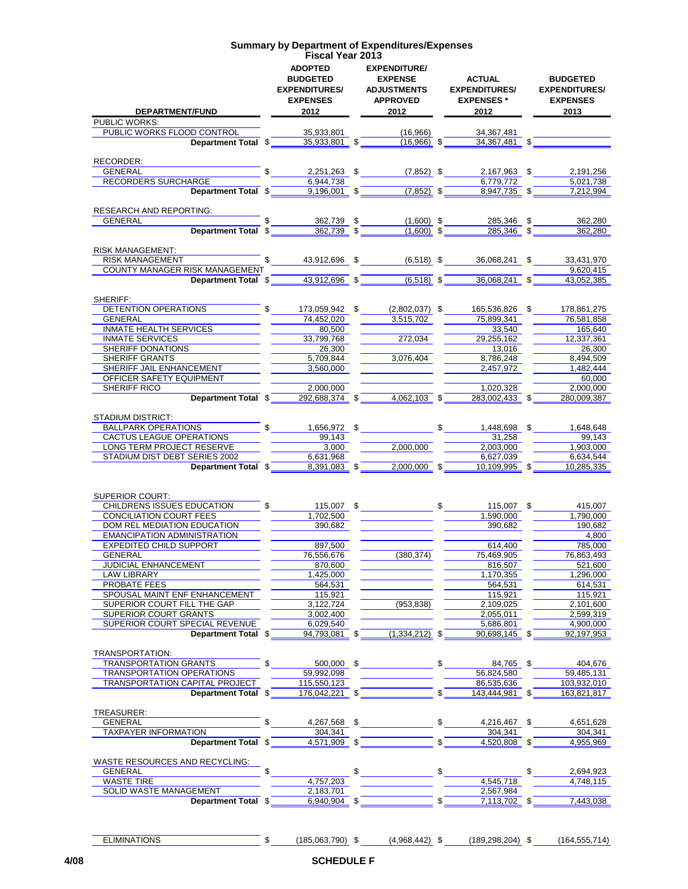| <b>Summary by Department of Expenditures/Expenses</b><br><b>Fiscal Year 2013</b> |                                                                                      |    |                                                                                        |    |                                                                   |    |                                                                    |  |  |  |
|----------------------------------------------------------------------------------|--------------------------------------------------------------------------------------|----|----------------------------------------------------------------------------------------|----|-------------------------------------------------------------------|----|--------------------------------------------------------------------|--|--|--|
| <b>DEPARTMENT/FUND</b>                                                           | <b>ADOPTED</b><br><b>BUDGETED</b><br><b>EXPENDITURES/</b><br><b>EXPENSES</b><br>2012 |    | <b>EXPENDITURE/</b><br><b>EXPENSE</b><br><b>ADJUSTMENTS</b><br><b>APPROVED</b><br>2012 |    | <b>ACTUAL</b><br><b>EXPENDITURES/</b><br><b>EXPENSES*</b><br>2012 |    | <b>BUDGETED</b><br><b>EXPENDITURES/</b><br><b>EXPENSES</b><br>2013 |  |  |  |
| PUBLIC WORKS:                                                                    |                                                                                      |    |                                                                                        |    |                                                                   |    |                                                                    |  |  |  |
| PUBLIC WORKS FLOOD CONTROL                                                       | 35,933,801                                                                           |    | (16,966)                                                                               |    | 34,367,481                                                        |    |                                                                    |  |  |  |
| Department Total \$                                                              | 35,933,801 \$                                                                        |    | $(16,966)$ \$                                                                          |    | 34,367,481 \$                                                     |    |                                                                    |  |  |  |
|                                                                                  |                                                                                      |    |                                                                                        |    |                                                                   |    |                                                                    |  |  |  |
| RECORDER:<br>\$<br><b>GENERAL</b>                                                | 2,251,263 \$                                                                         |    | $(7,852)$ \$                                                                           |    | 2,167,963 \$                                                      |    | 2,191,256                                                          |  |  |  |
| RECORDERS SURCHARGE                                                              | 6,944,738                                                                            |    |                                                                                        |    | 6,779,772                                                         |    | 5.021.738                                                          |  |  |  |
| Department Total \$                                                              | $9,196,001$ \$                                                                       |    | $(7,852)$ \$                                                                           |    | 8,947,735 \$                                                      |    | 7,212,994                                                          |  |  |  |
|                                                                                  |                                                                                      |    |                                                                                        |    |                                                                   |    |                                                                    |  |  |  |
| <b>RESEARCH AND REPORTING:</b>                                                   |                                                                                      |    |                                                                                        |    |                                                                   |    |                                                                    |  |  |  |
| <b>GENERAL</b>                                                                   | 362,739 \$                                                                           |    | $(1,600)$ \$                                                                           |    | 285,346 \$                                                        |    | 362,280                                                            |  |  |  |
| Department Total \$                                                              | $362,739$ \$                                                                         |    | $(1,600)$ \$                                                                           |    | 285,346 \$                                                        |    | 362,280                                                            |  |  |  |
| <b>RISK MANAGEMENT:</b>                                                          |                                                                                      |    |                                                                                        |    |                                                                   |    |                                                                    |  |  |  |
| \$<br><b>RISK MANAGEMENT</b>                                                     | 43,912,696 \$                                                                        |    | $(6,518)$ \$                                                                           |    | 36,068,241                                                        | \$ | 33,431,970                                                         |  |  |  |
| <b>COUNTY MANAGER RISK MANAGEMENT</b>                                            |                                                                                      |    |                                                                                        |    |                                                                   |    | 9,620,415                                                          |  |  |  |
| Department Total \$                                                              | $43,912,696$ \$                                                                      |    | $(6,518)$ \$                                                                           |    | 36,068,241                                                        | \$ | 43,052,385                                                         |  |  |  |
|                                                                                  |                                                                                      |    |                                                                                        |    |                                                                   |    |                                                                    |  |  |  |
| SHERIFF:                                                                         |                                                                                      |    |                                                                                        |    |                                                                   |    |                                                                    |  |  |  |
| <b>DETENTION OPERATIONS</b><br>GENERAL                                           | 173,059,942 \$<br>74,452,020                                                         |    | $(2,802,037)$ \$<br>3,515,702                                                          |    | 165,536,826<br>75,899,341                                         | \$ | 178,861,275<br>76,581,858                                          |  |  |  |
| <b>INMATE HEALTH SERVICES</b>                                                    | 80,500                                                                               |    |                                                                                        |    | 33,540                                                            |    | 165.640                                                            |  |  |  |
| <b>INMATE SERVICES</b>                                                           | 33,799,768                                                                           |    | 272,034                                                                                |    | 29,255,162                                                        |    | 12,337,361                                                         |  |  |  |
| SHERIFF DONATIONS                                                                | 26.300                                                                               |    |                                                                                        |    | 13,016                                                            |    | 26,300                                                             |  |  |  |
| <b>SHERIFF GRANTS</b>                                                            | 5,709,844                                                                            |    | 3,076,404                                                                              |    | 8,786,248                                                         |    | 8,494,509                                                          |  |  |  |
| SHERIFF JAIL ENHANCEMENT                                                         | 3,560,000                                                                            |    |                                                                                        |    | 2,457,972                                                         |    | 1,482,444                                                          |  |  |  |
| OFFICER SAFETY EQUIPMENT                                                         |                                                                                      |    |                                                                                        |    |                                                                   |    | 60,000                                                             |  |  |  |
| SHERIFF RICO                                                                     | 2,000,000                                                                            |    |                                                                                        |    | 1,020,328                                                         |    | 2,000,000                                                          |  |  |  |
| Department Total \$                                                              | 292,688,374 \$                                                                       |    | $4,062,103$ \$                                                                         |    | 283,002,433 \$                                                    |    | 280,009,387                                                        |  |  |  |
|                                                                                  |                                                                                      |    |                                                                                        |    |                                                                   |    |                                                                    |  |  |  |
| <b>STADIUM DISTRICT:</b>                                                         |                                                                                      |    |                                                                                        |    |                                                                   |    |                                                                    |  |  |  |
| BALLPARK OPERATIONS<br>CACTUS LEAGUE OPERATIONS                                  | 1,656,972 \$                                                                         |    |                                                                                        | \$ | 1,448,698 \$<br>31,258                                            |    | 1,648,648<br>99,143                                                |  |  |  |
| LONG TERM PROJECT RESERVE                                                        | 99,143<br>3,000                                                                      |    | 2,000,000                                                                              |    | 2,003,000                                                         |    | 1,903,000                                                          |  |  |  |
| STADIUM DIST DEBT SERIES 2002                                                    | 6,631,968                                                                            |    |                                                                                        |    | 6,627,039                                                         |    | 6,634,544                                                          |  |  |  |
| Department Total \$                                                              | 8,391,083 \$                                                                         |    | $2,000,000$ \$                                                                         |    | 10,109,995 \$                                                     |    | 10,285,335                                                         |  |  |  |
|                                                                                  |                                                                                      |    |                                                                                        |    |                                                                   |    |                                                                    |  |  |  |
|                                                                                  |                                                                                      |    |                                                                                        |    |                                                                   |    |                                                                    |  |  |  |
| <b>SUPERIOR COURT:</b><br><b>CHILDRENS ISSUES EDUCATION</b>                      | 115,007 \$                                                                           |    |                                                                                        | \$ | 115,007 \$                                                        |    | 415,007                                                            |  |  |  |
| <b>CONCILIATION COURT FEES</b>                                                   | 1,702,500                                                                            |    |                                                                                        |    | 1.590.000                                                         |    | 1,790,000                                                          |  |  |  |
| DOM REL MEDIATION EDUCATION                                                      | 390.682                                                                              |    |                                                                                        |    | 390,682                                                           |    | 190,682                                                            |  |  |  |
| <b>EMANCIPATION ADMINISTRATION</b>                                               |                                                                                      |    |                                                                                        |    |                                                                   |    | 4,800                                                              |  |  |  |
| EXPEDITED CHILD SUPPORT                                                          | 897,500                                                                              |    |                                                                                        |    | 614,400                                                           |    | 785,000                                                            |  |  |  |
| GENERAL                                                                          | 76,556,676                                                                           |    | (380, 374)                                                                             |    | 75,469,905                                                        |    | 76,863,493                                                         |  |  |  |
| <b>JUDICIAL ENHANCEMENT</b>                                                      | 870,600                                                                              |    |                                                                                        |    | 816,507                                                           |    | 521,600                                                            |  |  |  |
| <b>LAW LIBRARY</b>                                                               | 1,425,000                                                                            |    |                                                                                        |    | 1,170,355                                                         |    | 1,296,000                                                          |  |  |  |
| PROBATE FEES                                                                     | 564,531                                                                              |    |                                                                                        |    | 564,531                                                           |    | 614,531                                                            |  |  |  |
| SPOUSAL MAINT ENF ENHANCEMENT<br>SUPERIOR COURT FILL THE GAP                     | 115,921                                                                              |    |                                                                                        |    | 115,921                                                           |    | 115,921                                                            |  |  |  |
| SUPERIOR COURT GRANTS                                                            | 3,122,724<br>3,002,400                                                               |    | (953, 838)                                                                             |    | 2,109,025<br>2,055,011                                            |    | 2,101,600<br>2,599,319                                             |  |  |  |
| SUPERIOR COURT SPECIAL REVENUE                                                   | 6,029,540                                                                            |    |                                                                                        |    | 5,686,801                                                         |    | 4,900,000                                                          |  |  |  |
| Department Total \$                                                              | 94,793,081 \$                                                                        |    | $(1,334,212)$ \$                                                                       |    | 90,698,145 \$                                                     |    | 92,197,953                                                         |  |  |  |
|                                                                                  |                                                                                      |    |                                                                                        |    |                                                                   |    |                                                                    |  |  |  |
| TRANSPORTATION:                                                                  |                                                                                      |    |                                                                                        |    |                                                                   |    |                                                                    |  |  |  |
| TRANSPORTATION GRANTS<br>\$                                                      | 500,000 \$                                                                           |    |                                                                                        | \$ | 84,765 \$                                                         |    | 404,676                                                            |  |  |  |
| <b>TRANSPORTATION OPERATIONS</b>                                                 | 59,992,098                                                                           |    |                                                                                        |    | 56,824,580                                                        |    | 59,485,131                                                         |  |  |  |
| TRANSPORTATION CAPITAL PROJECT                                                   | 115,550,123                                                                          |    |                                                                                        |    | 86,535,636                                                        |    | 103,932,010                                                        |  |  |  |
| Department Total \$                                                              | 176,042,221                                                                          | \$ |                                                                                        | \$ | 143,444,981 \$                                                    |    | 163,821,817                                                        |  |  |  |
| TREASURER:                                                                       |                                                                                      |    |                                                                                        |    |                                                                   |    |                                                                    |  |  |  |
| \$<br>GENERAL                                                                    | 4,267,568 \$                                                                         |    |                                                                                        | \$ | 4,216,467                                                         | \$ | 4,651,628                                                          |  |  |  |
| TAXPAYER INFORMATION                                                             | 304,341                                                                              |    |                                                                                        |    | 304,341                                                           |    | 304,341                                                            |  |  |  |
| Department Total \$                                                              | 4,571,909 \$                                                                         |    |                                                                                        | \$ | 4,520,808 \$                                                      |    | 4,955,969                                                          |  |  |  |
|                                                                                  |                                                                                      |    |                                                                                        |    |                                                                   |    |                                                                    |  |  |  |
| WASTE RESOURCES AND RECYCLING:                                                   |                                                                                      |    |                                                                                        |    |                                                                   |    |                                                                    |  |  |  |
| \$<br>GENERAL                                                                    |                                                                                      | \$ |                                                                                        | \$ |                                                                   |    | 2,694,923                                                          |  |  |  |
| <b>WASTE TIRE</b>                                                                | 4,757,203                                                                            |    |                                                                                        |    | 4,545,718                                                         |    | 4,748,115                                                          |  |  |  |
| SOLID WASTE MANAGEMENT<br>Department Total \$                                    | 2,183,701<br>6,940,904 \$                                                            |    |                                                                                        | \$ | 2,567,984<br>7,113,702 \$                                         |    | 7,443,038                                                          |  |  |  |
|                                                                                  |                                                                                      |    |                                                                                        |    |                                                                   |    |                                                                    |  |  |  |

ELIMINATIONS \$ (185,063,790) \$ (4,968,442) \$ (189,298,204) \$ (164,555,714)